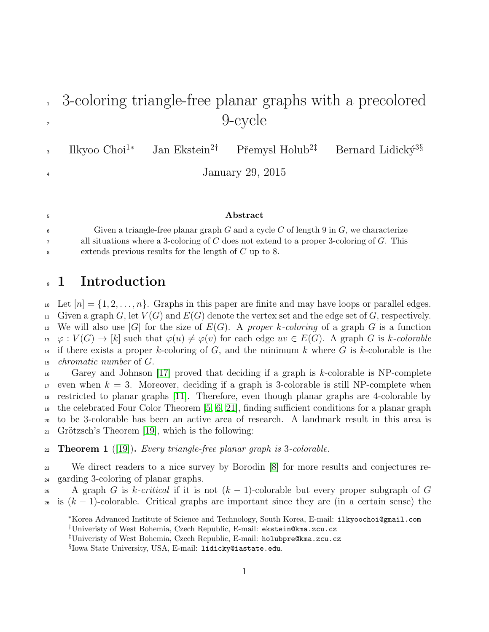# <sup>1</sup> 3-coloring triangle-free planar graphs with a precolored <sup>2</sup> 9-cycle

Ilkyoo Choi<sup>1∗</sup> Jan Ekstein<sup>2†</sup> Přemysl Holub<sup>2‡</sup> Bernard Lidický<sup>3§</sup> 3

<sup>4</sup> January 29, 2015

#### <sup>5</sup> Abstract

6 Given a triangle-free planar graph G and a cycle C of length 9 in  $G$ , we characterize <sup>7</sup> all situations where a 3-coloring of C does not extend to a proper 3-coloring of G. This <sup>8</sup> extends previous results for the length of C up to 8.

## <sup>9</sup> 1 Introduction

10 Let  $[n] = \{1, 2, \ldots, n\}$ . Graphs in this paper are finite and may have loops or parallel edges. 11 Given a graph G, let  $V(G)$  and  $E(G)$  denote the vertex set and the edge set of G, respectively. <sup>12</sup> We will also use |G| for the size of  $E(G)$ . A proper k-coloring of a graph G is a function  $\mu_1: \varphi: V(G) \to [k]$  such that  $\varphi(u) \neq \varphi(v)$  for each edge  $uv \in E(G)$ . A graph G is k-colorable

<sup>14</sup> if there exists a proper k-coloring of G, and the minimum k where G is k-colorable is the <sup>15</sup> chromatic number of G.

 $\frac{16}{16}$  Garey and Johnson [\[17\]](#page-26-0) proved that deciding if a graph is k-colorable is NP-complete even when  $k = 3$ . Moreover, deciding if a graph is 3-colorable is still NP-complete when restricted to planar graphs [\[11\]](#page-25-0). Therefore, even though planar graphs are 4-colorable by the celebrated Four Color Theorem [\[5,](#page-25-1) [6,](#page-25-2) [21\]](#page-26-1), finding sufficient conditions for a planar graph to be 3-colorable has been an active area of research. A landmark result in this area is  $_{21}$  Grötzsch's Theorem [\[19\]](#page-26-2), which is the following:

<span id="page-0-0"></span> $22$  **Theorem 1** ([\[19\]](#page-26-2)). Every triangle-free planar graph is 3-colorable.

<sup>23</sup> We direct readers to a nice survey by Borodin [\[8\]](#page-25-3) for more results and conjectures re-<sup>24</sup> garding 3-coloring of planar graphs.

25 A graph G is k-critical if it is not  $(k-1)$ -colorable but every proper subgraph of G <sup>26</sup> is  $(k-1)$ -colorable. Critical graphs are important since they are (in a certain sense) the

<sup>∗</sup>Korea Advanced Institute of Science and Technology, South Korea, E-mail: ilkyoochoi@gmail.com †Univeristy of West Bohemia, Czech Republic, E-mail: ekstein@kma.zcu.cz

<sup>‡</sup>Univeristy of West Bohemia, Czech Republic, E-mail: holubpre@kma.zcu.cz

<sup>§</sup> Iowa State University, USA, E-mail: lidicky@iastate.edu.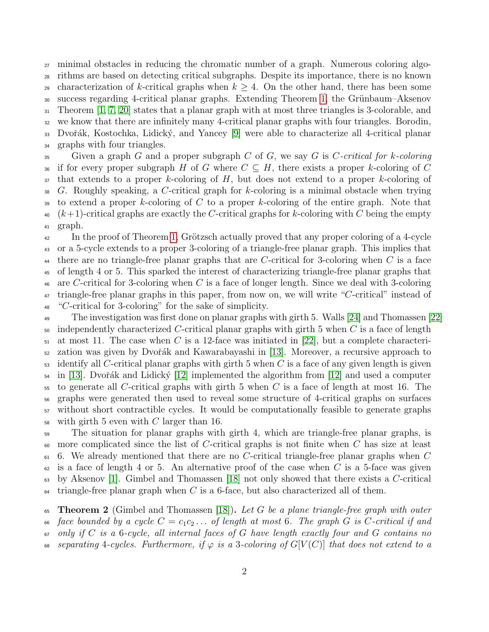minimal obstacles in reducing the chromatic number of a graph. Numerous coloring algo- rithms are based on detecting critical subgraphs. Despite its importance, there is no known 29 characterization of k-critical graphs when  $k \geq 4$ . On the other hand, there has been some <sup>30</sup> success regarding 4-critical planar graphs. Extending Theorem [1,](#page-0-0) the Grünbaum–Aksenov Theorem [\[1,](#page-24-0) [7,](#page-25-4) [20\]](#page-26-3) states that a planar graph with at most three triangles is 3-colorable, and we know that there are infinitely many 4-critical planar graphs with four triangles. Borodin, <sup>33</sup> Dvořák, Kostochka, Lidický, and Yancey [\[9\]](#page-25-5) were able to characterize all 4-critical planar graphs with four triangles. Given a graph G and a proper subgraph C of G, we say G is C-critical for k-coloring

36 if for every proper subgraph H of G where  $C \subseteq H$ , there exists a proper k-coloring of C  $37$  that extends to a proper k-coloring of H, but does not extend to a proper k-coloring of 38 G. Roughly speaking, a C-critical graph for k-coloring is a minimal obstacle when trying 39 to extend a proper k-coloring of C to a proper k-coloring of the entire graph. Note that  $\mu$ <sub>40</sub>  $(k+1)$ -critical graphs are exactly the C-critical graphs for k-coloring with C being the empty <sup>41</sup> graph.

 $\mu_{42}$  In the proof of Theorem [1,](#page-0-0) Grötzsch actually proved that any proper coloring of a 4-cycle <sup>43</sup> or a 5-cycle extends to a proper 3-coloring of a triangle-free planar graph. This implies that <sup>44</sup> there are no triangle-free planar graphs that are C-critical for 3-coloring when C is a face <sup>45</sup> of length 4 or 5. This sparked the interest of characterizing triangle-free planar graphs that <sup>46</sup> are C-critical for 3-coloring when C is a face of longer length. Since we deal with 3-coloring <sup>47</sup> triangle-free planar graphs in this paper, from now on, we will write "C-critical" instead of <sup>48</sup> "C-critical for 3-coloring" for the sake of simplicity.

 The investigation was first done on planar graphs with girth 5. Walls [\[24\]](#page-26-4) and Thomassen [\[22\]](#page-26-5) independently characterized C-critical planar graphs with girth 5 when C is a face of length  $_{51}$  at most 11. The case when C is a 12-face was initiated in [\[22\]](#page-26-5), but a complete characteri- zation was given by Dvoˇr´ak and Kawarabayashi in [\[13\]](#page-25-6). Moreover, a recursive approach to identify all C-critical planar graphs with girth 5 when C is a face of any given length is given  $_{54}$  in [\[13\]](#page-25-6). Dvořák and Lidický [\[12\]](#page-25-7) implemented the algorithm from [12] and used a computer to generate all C-critical graphs with girth 5 when C is a face of length at most 16. The graphs were generated then used to reveal some structure of 4-critical graphs on surfaces without short contractible cycles. It would be computationally feasible to generate graphs with girth 5 even with C larger than 16.

<sup>59</sup> The situation for planar graphs with girth 4, which are triangle-free planar graphs, is  $\omega$  more complicated since the list of C-critical graphs is not finite when C has size at least  $6.$  We already mentioned that there are no C-critical triangle-free planar graphs when C  $62$  is a face of length 4 or 5. An alternative proof of the case when C is a 5-face was given  $\epsilon_{\rm s}$  by Aksenov [\[1\]](#page-24-0). Gimbel and Thomassen [\[18\]](#page-26-6) not only showed that there exists a C-critical  $\frac{64}{100}$  triangle-free planar graph when C is a 6-face, but also characterized all of them.

65 Theorem 2 (Gimbel and Thomassen [\[18\]](#page-26-6)). Let G be a plane triangle-free graph with outer 66 face bounded by a cycle  $C = c_1c_2 \ldots$  of length at most 6. The graph G is C-critical if and  $\sigma$  only if C is a 6-cycle, all internal faces of G have length exactly four and G contains no 68 separating 4-cycles. Furthermore, if  $\varphi$  is a 3-coloring of  $G[V(C)]$  that does not extend to a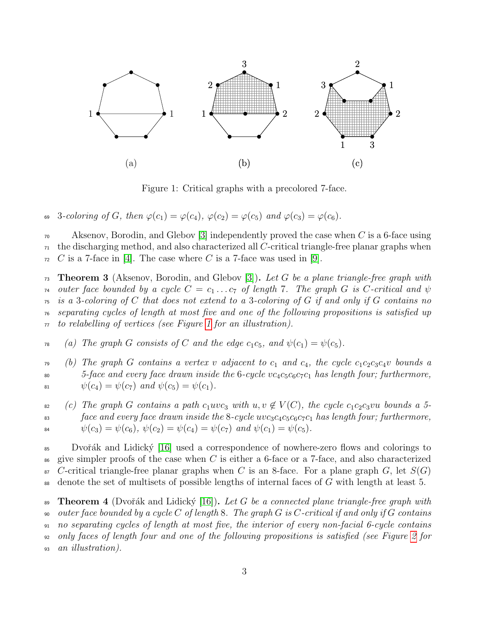

<span id="page-2-0"></span>Figure 1: Critical graphs with a precolored 7-face.

69 3-coloring of G, then  $\varphi(c_1) = \varphi(c_4)$ ,  $\varphi(c_2) = \varphi(c_5)$  and  $\varphi(c_3) = \varphi(c_6)$ .

 $\alpha$  Aksenov, Borodin, and Glebov [\[3\]](#page-25-8) independently proved the case when C is a 6-face using  $\pi$  the discharging method, and also characterized all C-critical triangle-free planar graphs when  $\tau_2$  C is a 7-face in [\[4\]](#page-25-9). The case where C is a 7-face was used in [\[9\]](#page-25-5).

 $\tau_3$  Theorem 3 (Aksenov, Borodin, and Glebov [\[3\]](#page-25-8)). Let G be a plane triangle-free graph with <sup>74</sup> outer face bounded by a cycle  $C = c_1 \ldots c_7$  of length 7. The graph G is C-critical and  $\psi$  $\tau_5$  is a 3-coloring of C that does not extend to a 3-coloring of G if and only if G contains no <sup>76</sup> separating cycles of length at most five and one of the following propositions is satisfied up  $\pi$  to relabelling of vertices (see Figure [1](#page-2-0) for an illustration).

<sup>78</sup> (a) The graph G consists of C and the edge  $c_1c_5$ , and  $\psi(c_1) = \psi(c_5)$ .

 $\tau$ <sup>9</sup> (b) The graph G contains a vertex v adjacent to  $c_1$  and  $c_4$ , the cycle  $c_1c_2c_3c_4v$  bounds a 80  $5$ -face and every face drawn inside the 6-cycle  $vc_4c_5c_6c_7c_1$  has length four; furthermore, 81  $\psi(c_4) = \psi(c_7)$  and  $\psi(c_5) = \psi(c_1)$ .

82 (c) The graph G contains a path  $c_1uvc_3$  with  $u, v \notin V(C)$ , the cycle  $c_1c_2c_3vu$  bounds a 5-<sup>83</sup> face and every face drawn inside the 8-cycle  $wc_3c_4c_5c_6c_7c_1$  has length four; furthermore, 84  $\psi(c_3) = \psi(c_6), \psi(c_2) = \psi(c_4) = \psi(c_7) \text{ and } \psi(c_1) = \psi(c_5).$ 

85 Dvořák and Lidický [\[16\]](#page-25-10) used a correspondence of nowhere-zero flows and colorings to  $\frac{1}{86}$  give simpler proofs of the case when C is either a 6-face or a 7-face, and also characterized  $87$  C-critical triangle-free planar graphs when C is an 8-face. For a plane graph G, let  $S(G)$ <sup>88</sup> denote the set of multisets of possible lengths of internal faces of G with length at least 5.

<span id="page-2-1"></span>89 Theorem 4 (Dvořák and Lidický [\[16\]](#page-25-10)). Let G be a connected plane triangle-free graph with  $\omega$  outer face bounded by a cycle C of length 8. The graph G is C-critical if and only if G contains <sup>91</sup> no separating cycles of length at most five, the interior of every non-facial 6-cycle contains <sup>92</sup> only faces of length four and one of the following propositions is satisfied (see Figure [2](#page-3-0) for <sup>93</sup> an illustration).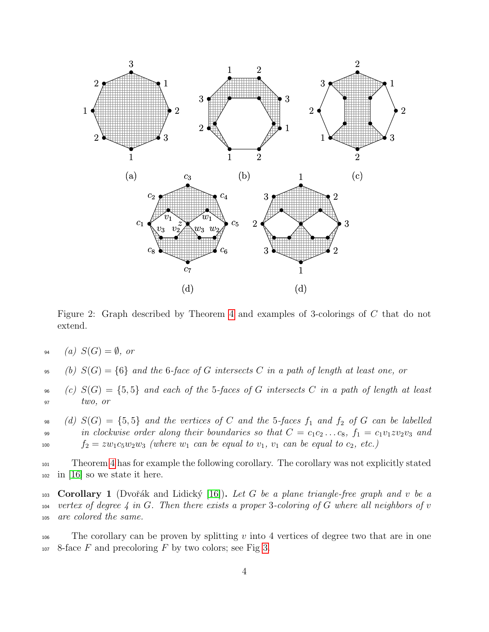

<span id="page-3-0"></span>Figure 2: Graph described by Theorem [4](#page-2-1) and examples of 3-colorings of C that do not extend.

94 (a)  $S(G) = \emptyset$ , or

95 (b)  $S(G) = \{6\}$  and the 6-face of G intersects C in a path of length at least one, or

 $\mathfrak{so}$  (c)  $S(G) = \{5, 5\}$  and each of the 5-faces of G intersects C in a path of length at least  $two, or$ 

98 (d)  $S(G) = \{5, 5\}$  and the vertices of C and the 5-faces  $f_1$  and  $f_2$  of G can be labelled 99 in clockwise order along their boundaries so that  $C = c_1c_2 \ldots c_8$ ,  $f_1 = c_1v_1zv_2v_3$  and  $f_2 = zw_1c_5w_2w_3$  (where  $w_1$  can be equal to  $v_1$ ,  $v_1$  can be equal to  $c_2$ , etc.)

<sup>101</sup> Theorem [4](#page-2-1) has for example the following corollary. The corollary was not explicitly stated  $_{102}$  in [\[16\]](#page-25-10) so we state it here.

103 **Corollary 1** (Dvořák and Lidický [\[16\]](#page-25-10)). Let G be a plane triangle-free graph and v be a  $104$  vertex of degree 4 in G. Then there exists a proper 3-coloring of G where all neighbors of v <sup>105</sup> are colored the same.

 $106$  The corollary can be proven by splitting v into 4 vertices of degree two that are in one  $107$  8-face F and precoloring F by two colors; see Fig [3.](#page-4-0)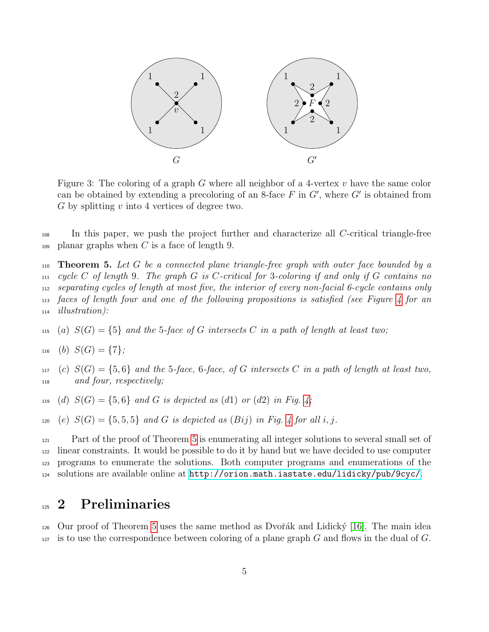

<span id="page-4-0"></span>Figure 3: The coloring of a graph G where all neighbor of a 4-vertex  $v$  have the same color can be obtained by extending a precoloring of an 8-face  $F$  in  $G'$ , where  $G'$  is obtained from  $G$  by splitting  $v$  into 4 vertices of degree two.

<sup>108</sup> In this paper, we push the project further and characterize all C-critical triangle-free  $_{109}$  planar graphs when C is a face of length 9.

<span id="page-4-1"></span>**Theorem 5.** Let G be a connected plane triangle-free graph with outer face bounded by a  $_{111}$  cycle C of length 9. The graph G is C-critical for 3-coloring if and only if G contains no separating cycles of length at most five, the interior of every non-facial 6-cycle contains only faces of length four and one of the following propositions is satisfied (see Figure [4](#page-5-0) for an illustration):

- 115 (a)  $S(G) = \{5\}$  and the 5-face of G intersects C in a path of length at least two;
- $_{116}$  (b)  $S(G) = \{7\}$ ;
- $117$  (c)  $S(G) = \{5, 6\}$  and the 5-face, 6-face, of G intersects C in a path of length at least two, <sup>118</sup> and four, respectively;
- 119 (d)  $S(G) = \{5, 6\}$  and G is depicted as (d1) or (d2) in Fig. [4;](#page-5-0)
- 120 (e)  $S(G) = \{5, 5, 5\}$  and G is depicted as  $(Bij)$  in Fig. [4](#page-5-0) for all i, j.

 Part of the proof of Theorem [5](#page-4-1) is enumerating all integer solutions to several small set of linear constraints. It would be possible to do it by hand but we have decided to use computer programs to enumerate the solutions. Both computer programs and enumerations of the solutions are available online at <http://orion.math.iastate.edu/lidicky/pub/9cyc/>.

## <sup>125</sup> 2 Preliminaries

<sup>126</sup> Our proof of Theorem [5](#page-4-1) uses the same method as Dvořák and Lidický [\[16\]](#page-25-10). The main idea 127 is to use the correspondence between coloring of a plane graph G and flows in the dual of  $G$ .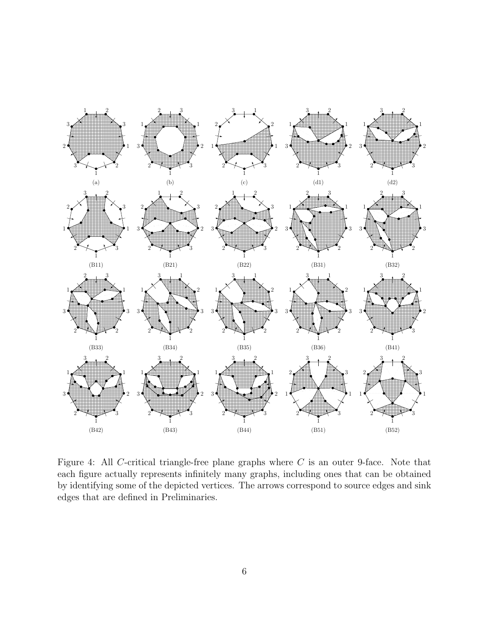

<span id="page-5-0"></span>Figure 4: All C-critical triangle-free plane graphs where  $C$  is an outer 9-face. Note that each figure actually represents infinitely many graphs, including ones that can be obtained by identifying some of the depicted vertices. The arrows correspond to source edges and sink edges that are defined in Preliminaries.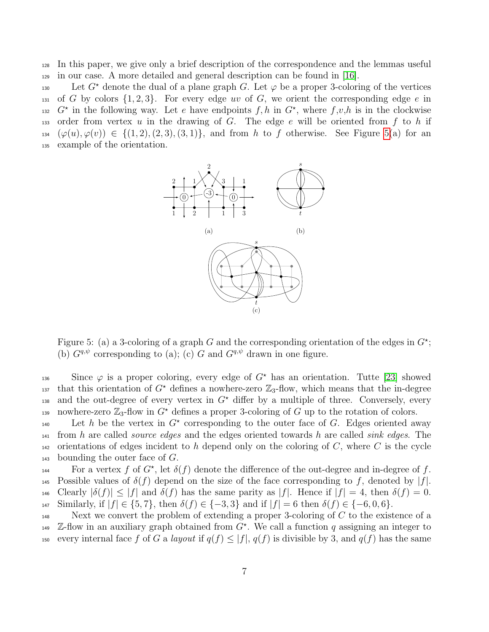<sup>128</sup> In this paper, we give only a brief description of the correspondence and the lemmas useful <sup>129</sup> in our case. A more detailed and general description can be found in [\[16\]](#page-25-10).

130 Let  $G^*$  denote the dual of a plane graph G. Let  $\varphi$  be a proper 3-coloring of the vertices 131 of G by colors  $\{1, 2, 3\}$ . For every edge uv of G, we orient the corresponding edge e in <sup>132</sup> G<sup>\*</sup> in the following way. Let e have endpoints  $f, h$  in  $G^*$ , where  $f, v, h$  is in the clockwise 133 order from vertex u in the drawing of G. The edge e will be oriented from f to h if  $(\varphi(u), \varphi(v)) \in \{ (1, 2), (2, 3), (3, 1) \},$  and from h to f otherwise. See Figure [5\(](#page-6-0)a) for an <sup>135</sup> example of the orientation.



<span id="page-6-0"></span>Figure 5: (a) a 3-coloring of a graph G and the corresponding orientation of the edges in  $G^*$ ; (b)  $G^{q,\psi}$  corresponding to (a); (c) G and  $G^{q,\psi}$  drawn in one figure.

136 Since  $\varphi$  is a proper coloring, every edge of  $G^*$  has an orientation. Tutte [\[23\]](#page-26-7) showed <sup>137</sup> that this orientation of  $G^*$  defines a nowhere-zero  $\mathbb{Z}_3$ -flow, which means that the in-degree and the out-degree of every vertex in  $G^*$  differ by a multiple of three. Conversely, every nowhere-zero  $\mathbb{Z}_3$ -flow in  $G^*$  defines a proper 3-coloring of G up to the rotation of colors.

140 Let h be the vertex in  $G^*$  corresponding to the outer face of G. Edges oriented away  $_{141}$  from h are called *source edges* and the edges oriented towards h are called *sink edges*. The  $142$  orientations of edges incident to h depend only on the coloring of C, where C is the cycle  $_{143}$  bounding the outer face of  $G$ .

For a vertex f of  $G^*$ , let  $\delta(f)$  denote the difference of the out-degree and in-degree of f. 145 Possible values of  $\delta(f)$  depend on the size of the face corresponding to f, denoted by  $|f|$ . 146 Clearly  $|\delta(f)| \leq |f|$  and  $\delta(f)$  has the same parity as |f|. Hence if  $|f| = 4$ , then  $\delta(f) = 0$ . 147 Similarly, if  $|f| \in \{5, 7\}$ , then  $\delta(f) \in \{-3, 3\}$  and if  $|f| = 6$  then  $\delta(f) \in \{-6, 0, 6\}$ .

 $Next$  we convert the problem of extending a proper 3-coloring of C to the existence of a <sup>149</sup> Z-flow in an auxiliary graph obtained from  $G^*$ . We call a function q assigning an integer to 150 every internal face f of G a layout if  $q(f) \leq |f|, q(f)$  is divisible by 3, and  $q(f)$  has the same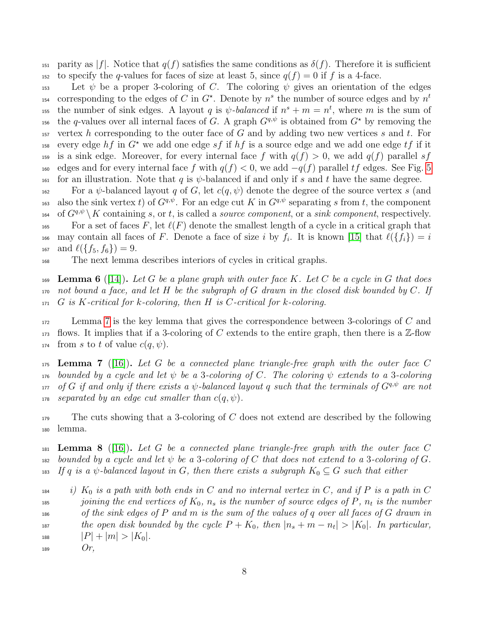151 parity as  $|f|$ . Notice that  $q(f)$  satisfies the same conditions as  $\delta(f)$ . Therefore it is sufficient 152 to specify the q-values for faces of size at least 5, since  $q(f) = 0$  if f is a 4-face.

153 Let  $\psi$  be a proper 3-coloring of C. The coloring  $\psi$  gives an orientation of the edges corresponding to the edges of C in  $G^*$ . Denote by  $n^s$  the number of source edges and by  $n^t$ 154 the number of sink edges. A layout q is  $\psi$ -balanced if  $n^s + m = n^t$ , where m is the sum of <sup>156</sup> the q-values over all internal faces of G. A graph  $G^{q,\psi}$  is obtained from  $G^*$  by removing the 157 vertex h corresponding to the outer face of G and by adding two new vertices s and t. For <sup>158</sup> every edge  $hf$  in  $G^*$  we add one edge sf if  $hf$  is a source edge and we add one edge tf if it 159 is a sink edge. Moreover, for every internal face f with  $q(f) > 0$ , we add  $q(f)$  parallel sf  $160$  edges and for every internal face f with  $q(f) < 0$ , we add  $-q(f)$  parallel tf edges. See Fig. [5](#page-6-0) 161 for an illustration. Note that q is  $\psi$ -balanced if and only if s and t have the same degree.

162 For a  $\psi$ -balanced layout q of G, let  $c(q, \psi)$  denote the degree of the source vertex s (and also the sink vertex t) of  $G^{q,\psi}$ . For an edge cut K in  $G^{q,\psi}$  separating s from t, the component 164 of  $G^{q,\psi}$   $\setminus K$  containing s, or t, is called a source component, or a sink component, respectively. 165 For a set of faces F, let  $\ell(F)$  denote the smallest length of a cycle in a critical graph that <sup>166</sup> may contain all faces of F. Denote a face of size i by  $f_i$ . It is known [\[15\]](#page-25-11) that  $\ell({f_i}) = i$ 167 and  $\ell({f_5, f_6}) = 9$ .

<sup>168</sup> The next lemma describes interiors of cycles in critical graphs.

<span id="page-7-1"></span>169 Lemma 6 ([\[14\]](#page-25-12)). Let G be a plane graph with outer face K. Let C be a cycle in G that does 170 not bound a face, and let H be the subgraph of G drawn in the closed disk bounded by C. If  $171 \text{ } G$  is K-critical for k-coloring, then H is C-critical for k-coloring.

 $172$  Lemma [7](#page-7-0) is the key lemma that gives the correspondence between 3-colorings of C and 173 flows. It implies that if a 3-coloring of C extends to the entire graph, then there is a  $\mathbb{Z}$ -flow 174 from s to t of value  $c(q, \psi)$ .

<span id="page-7-0"></span> $175$  **Lemma 7** ([\[16\]](#page-25-10)). Let G be a connected plane triangle-free graph with the outer face C 176 bounded by a cycle and let  $\psi$  be a 3-coloring of C. The coloring  $\psi$  extends to a 3-coloring  $\alpha$ <sub>177</sub> of G if and only if there exists a  $\psi$ -balanced layout q such that the terminals of  $G^{q,\psi}$  are not 178 separated by an edge cut smaller than  $c(q, \psi)$ .

 $179$  The cuts showing that a 3-coloring of C does not extend are described by the following <sup>180</sup> lemma.

<span id="page-7-2"></span> $_{181}$  Lemma 8 ([\[16\]](#page-25-10)). Let G be a connected plane triangle-free graph with the outer face C  $182$  bounded by a cycle and let  $\psi$  be a 3-coloring of C that does not extend to a 3-coloring of G. 183 If q is a  $\psi$ -balanced layout in G, then there exists a subgraph  $K_0 \subseteq G$  such that either

 $\begin{array}{ll} \text{184} \quad \text{i)} \quad K_0 \text{ is a path with both ends in } C \text{ and no internal vertex in } C, \text{ and if } P \text{ is a path in } C. \end{array}$ <sup>185</sup> joining the end vertices of  $K_0$ ,  $n_s$  is the number of source edges of P,  $n_t$  is the number  $186$  of the sink edges of P and m is the sum of the values of q over all faces of G drawn in 187 the open disk bounded by the cycle  $P + K_0$ , then  $|n_s + m - n_t| > |K_0|$ . In particular, 188  $|P| + |m| > |K_0|$ .

 $189$  Or,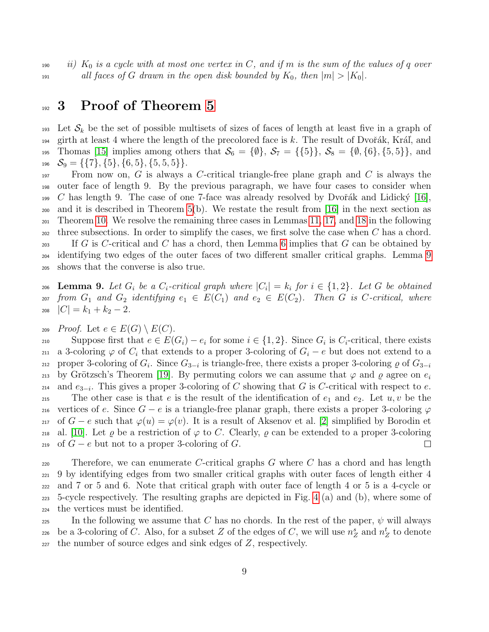190 ii)  $K_0$  is a cycle with at most one vertex in C, and if m is the sum of the values of q over 191 all faces of G drawn in the open disk bounded by  $K_0$ , then  $|m| > |K_0|$ .

## 192 3 Proof of Theorem [5](#page-4-1)

193 Let  $\mathcal{S}_k$  be the set of possible multisets of sizes of faces of length at least five in a graph of 194 girth at least 4 where the length of the precolored face is k. The result of Dvořák, Kráľ, and 195 Thomas [\[15\]](#page-25-11) implies among others that  $\mathcal{S}_6 = \{\emptyset\}, \mathcal{S}_7 = \{\{5\}\}, \mathcal{S}_8 = \{\emptyset, \{6\}, \{5, 5\}\},\$ and  $S_9 = \{\{7\}, \{5\}, \{6, 5\}, \{5, 5, 5\}\}.$ 

197 From now on, G is always a C-critical triangle-free plane graph and C is always the outer face of length 9. By the previous paragraph, we have four cases to consider when  $199$  C has length 9. The case of one 7-face was already resolved by Dvořák and Lidický [\[16\]](#page-25-10), and it is described in Theorem [5\(](#page-4-1)b). We restate the result from [\[16\]](#page-25-10) in the next section as Theorem [10.](#page-9-0) We resolve the remaining three cases in Lemmas [11,](#page-9-1) [17,](#page-13-0) and [18](#page-15-0) in the following three subsections. In order to simplify the cases, we first solve the case when C has a chord. 203 If G is C-critical and C has a chord, then Lemma [6](#page-7-1) implies that G can be obtained by identifying two edges of the outer faces of two different smaller critical graphs. Lemma [9](#page-8-0) shows that the converse is also true.

<span id="page-8-0"></span>206 **Lemma 9.** Let  $G_i$  be a  $C_i$ -critical graph where  $|C_i| = k_i$  for  $i \in \{1,2\}$ . Let  $G$  be obtained 207 from  $G_1$  and  $G_2$  identifying  $e_1 \in E(C_1)$  and  $e_2 \in E(C_2)$ . Then G is C-critical, where 208  $|C| = k_1 + k_2 - 2$ .

209 Proof. Let  $e \in E(G) \setminus E(C)$ .

Suppose first that  $e \in E(G_i) - e_i$  for some  $i \in \{1, 2\}$ . Since  $G_i$  is  $C_i$ -critical, there exists 211 a 3-coloring  $\varphi$  of  $C_i$  that extends to a proper 3-coloring of  $G_i - e$  but does not extend to a proper 3-coloring of  $G_i$ . Since  $G_{3-i}$  is triangle-free, there exists a proper 3-coloring  $\varrho$  of  $G_{3-i}$ 212 by Grötzsch's Theorem [\[19\]](#page-26-2). By permuting colors we can assume that  $\varphi$  and  $\rho$  agree on  $e_i$ 213 214 and  $e_{3-i}$ . This gives a proper 3-coloring of C showing that G is C-critical with respect to  $e$ . 215 The other case is that e is the result of the identification of  $e_1$  and  $e_2$ . Let  $u, v$  be the 216 vertices of e. Since  $G - e$  is a triangle-free planar graph, there exists a proper 3-coloring  $\varphi$ 217 of  $G - e$  such that  $\varphi(u) = \varphi(v)$ . It is a result of Aksenov et al. [\[2\]](#page-25-13) simplified by Borodin et 218 al. [\[10\]](#page-25-14). Let  $\varrho$  be a restriction of  $\varphi$  to C. Clearly,  $\varrho$  can be extended to a proper 3-coloring 219 of  $G - e$  but not to a proper 3-coloring of G.  $\Box$ 

220 Therefore, we can enumerate C-critical graphs  $G$  where  $C$  has a chord and has length 9 by identifying edges from two smaller critical graphs with outer faces of length either 4 and 7 or 5 and 6. Note that critical graph with outer face of length 4 or 5 is a 4-cycle or 5-cycle respectively. The resulting graphs are depicted in Fig. [4](#page-5-0) (a) and (b), where some of the vertices must be identified.

225 In the following we assume that C has no chords. In the rest of the paper,  $\psi$  will always 226 be a 3-coloring of C. Also, for a subset Z of the edges of C, we will use  $n_Z^s$  and  $n_Z^t$  to denote  $227$  the number of source edges and sink edges of  $Z$ , respectively.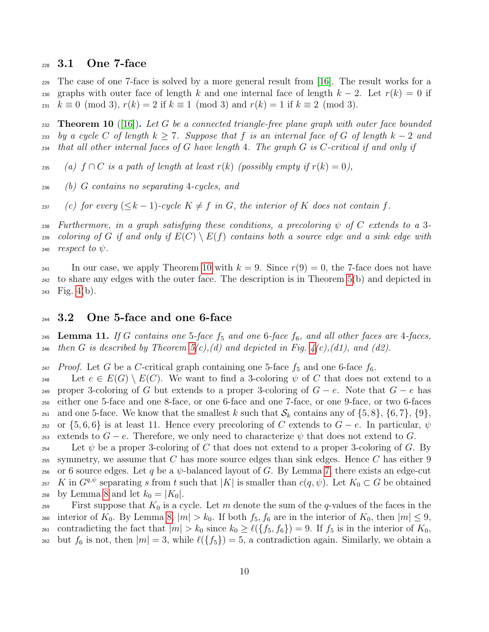#### <sup>228</sup> 3.1 One 7-face

<sup>229</sup> The case of one 7-face is solved by a more general result from [\[16\]](#page-25-10). The result works for a 230 graphs with outer face of length k and one internal face of length  $k-2$ . Let  $r(k) = 0$  if 231  $k \equiv 0 \pmod{3}$ ,  $r(k) = 2$  if  $k \equiv 1 \pmod{3}$  and  $r(k) = 1$  if  $k \equiv 2 \pmod{3}$ .

<span id="page-9-0"></span>232 **Theorem 10** ([\[16\]](#page-25-10)). Let G be a connected triangle-free plane graph with outer face bounded 233 by a cycle C of length  $k \geq 7$ . Suppose that f is an internal face of G of length  $k-2$  and  $_{234}$  that all other internal faces of G have length 4. The graph G is C-critical if and only if

235 (a)  $f \cap C$  is a path of length at least  $r(k)$  (possibly empty if  $r(k) = 0$ ),

<sup>236</sup> (b) G contains no separating 4-cycles, and

237 (c) for every  $(\leq k-1)$ -cycle  $K \neq f$  in G, the interior of K does not contain f.

238 Furthermore, in a graph satisfying these conditions, a precoloring  $\psi$  of C extends to a 3-239 coloring of G if and only if  $E(C) \setminus E(f)$  contains both a source edge and a sink edge with 240 *respect to*  $\psi$ .

241 In our case, we apply Theorem [10](#page-9-0) with  $k = 9$ . Since  $r(9) = 0$ , the 7-face does not have <sup>242</sup> to share any edges with the outer face. The description is in Theorem [5\(](#page-4-1)b) and depicted in  $243$  Fig. [4\(](#page-5-0)b).

### $244$  3.2 One 5-face and one 6-face

<span id="page-9-1"></span>245 Lemma 11. If G contains one 5-face  $f_5$  and one 6-face  $f_6$ , and all other faces are 4-faces, <sup>246</sup> then G is described by Theorem  $5(c)$ , (d) and depicted in Fig.  $4(c)$ , (d1), and (d2).

<sup>247</sup> Proof. Let G be a C-critical graph containing one 5-face  $f_5$  and one 6-face  $f_6$ .

248 Let  $e \in E(G) \setminus E(C)$ . We want to find a 3-coloring  $\psi$  of C that does not extend to a 249 proper 3-coloring of G but extends to a proper 3-coloring of  $G - e$ . Note that  $G - e$  has <sup>250</sup> either one 5-face and one 8-face, or one 6-face and one 7-face, or one 9-face, or two 6-faces 251 and one 5-face. We know that the smallest k such that  $\mathcal{S}_k$  contains any of  $\{5, 8\}, \{6, 7\}, \{9\},\$ 252 or  $\{5,6,6\}$  is at least 11. Hence every precoloring of C extends to  $G - e$ . In particular,  $\psi$ 253 extends to  $G - e$ . Therefore, we only need to characterize  $\psi$  that does not extend to G.

<sup>254</sup> Let  $\psi$  be a proper 3-coloring of C that does not extend to a proper 3-coloring of G. By 255 symmetry, we assume that C has more source edges than sink edges. Hence C has either 9 256 or 6 source edges. Let q be a  $\psi$ -balanced layout of G. By Lemma [7,](#page-7-0) there exists an edge-cut <sup>257</sup> K in  $G^{q,\psi}$  separating s from t such that  $|K|$  is smaller than  $c(q,\psi)$ . Let  $K_0 \subset G$  be obtained <sup>258</sup> by Lemma [8](#page-7-2) and let  $k_0 = |K_0|$ .

<sup>259</sup> First suppose that  $K_0$  is a cycle. Let m denote the sum of the q-values of the faces in the 260 interior of  $K_0$ . By Lemma [8,](#page-7-2)  $|m| > k_0$ . If both  $f_5, f_6$  are in the interior of  $K_0$ , then  $|m| \leq 9$ , 261 contradicting the fact that  $|m| > k_0$  since  $k_0 \geq \ell({f_5, f_6}) = 9$ . If  $f_5$  is in the interior of  $K_0$ , <sup>262</sup> but  $f_6$  is not, then  $|m| = 3$ , while  $\ell({f_5}) = 5$ , a contradiction again. Similarly, we obtain a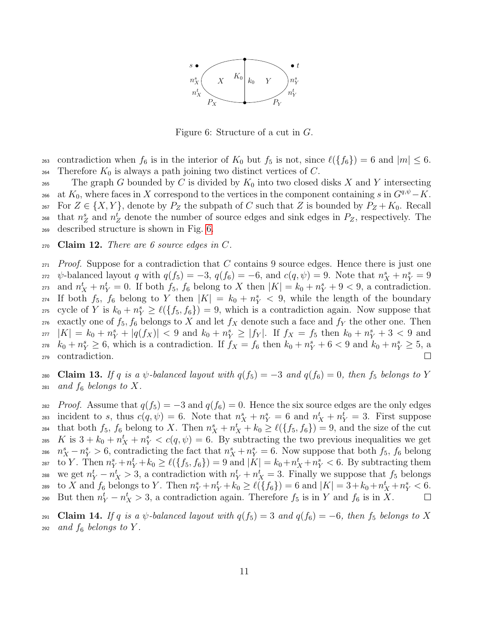

<span id="page-10-0"></span>Figure 6: Structure of a cut in G.

263 contradiction when  $f_6$  is in the interior of  $K_0$  but  $f_5$  is not, since  $\ell({f_6}) = 6$  and  $|m| \leq 6$ . 264 Therefore  $K_0$  is always a path joining two distinct vertices of C.

265 The graph G bounded by C is divided by  $K_0$  into two closed disks X and Y intersecting 266 at K<sub>0</sub>, where faces in X correspond to the vertices in the component containing s in  $G^{q,\psi} - K$ . <sup>267</sup> For  $Z \in \{X, Y\}$ , denote by  $P_Z$  the subpath of C such that Z is bounded by  $P_Z + K_0$ . Recall <sup>268</sup> that  $n_Z^s$  and  $n_Z^t$  denote the number of source edges and sink edges in  $P_Z$ , respectively. The <sup>269</sup> described structure is shown in Fig. [6.](#page-10-0)

<span id="page-10-3"></span> $270$  Claim 12. There are 6 source edges in C.

 $271$  Proof. Suppose for a contradiction that C contains 9 source edges. Hence there is just one 272  $\psi$ -balanced layout q with  $q(f_5) = -3$ ,  $q(f_6) = -6$ , and  $c(q, \psi) = 9$ . Note that  $n_X^s + n_Y^s = 9$ <sup>273</sup> and  $n_X^t + n_Y^t = 0$ . If both  $f_5$ ,  $f_6$  belong to X then  $|K| = k_0 + n_Y^s + 9 < 9$ , a contradiction. <sup>274</sup> If both  $f_5$ ,  $f_6$  belong to Y then  $|K| = k_0 + n_Y^s < 9$ , while the length of the boundary 275 cycle of Y is  $k_0 + n_Y^s \ge \ell(\lbrace f_5, f_6 \rbrace) = 9$ , which is a contradiction again. Now suppose that 276 exactly one of  $f_5, f_6$  belongs to X and let  $f_X$  denote such a face and  $f_Y$  the other one. Then  $|K| = k_0 + n_Y^s + |q(f_X)| < 9$  and  $k_0 + n_Y^s \ge |f_Y|$ . If  $f_X = f_5$  then  $k_0 + n_Y^s + 3 < 9$  and <sup>278</sup>  $k_0 + n_Y^s \geq 6$ , which is a contradiction. If  $f_X = f_6$  then  $k_0 + n_Y^s + 6 < 9$  and  $k_0 + n_Y^s \geq 5$ , a <sup>279</sup> contradiction.

<span id="page-10-1"></span>280 Claim 13. If q is a  $\psi$ -balanced layout with  $q(f_5) = -3$  and  $q(f_6) = 0$ , then  $f_5$  belongs to Y  $_{281}$  and  $f_6$  belongs to X.

282 Proof. Assume that  $q(f_5) = -3$  and  $q(f_6) = 0$ . Hence the six source edges are the only edges 283 incident to s, thus  $c(q, \psi) = 6$ . Note that  $n_X^s + n_Y^s = 6$  and  $n_X^t + n_Y^t = 3$ . First suppose <sup>284</sup> that both  $f_5$ ,  $f_6$  belong to X. Then  $n_X^s + n_X^t + k_0 \geq \ell(\lbrace f_5, f_6 \rbrace) = 9$ , and the size of the cut <sup>285</sup> K is  $3 + k_0 + n_X^t + n_Y^s < c(q, \psi) = 6$ . By subtracting the two previous inequalities we get <sup>286</sup>  $n_X^s - n_Y^s > 6$ , contradicting the fact that  $n_X^s + n_Y^s = 6$ . Now suppose that both  $f_5$ ,  $f_6$  belong <sup>287</sup> to Y. Then  $n_Y^s + n_Y^t + k_0 \ge \ell(\lbrace f_5, f_6 \rbrace) = 9$  and  $|K| = k_0 + n_X^t + n_Y^s < 6$ . By subtracting them 288 we get  $n_Y^t - n_X^t > 3$ , a contradiction with  $n_Y^t + n_X^t = 3$ . Finally we suppose that  $f_5$  belongs  $\text{Area} \quad \text{to } X \text{ and } f_6 \text{ belongs to } Y. \text{ Then } n_Y^s + n_Y^t + k_0 \geq \ell(\lbrace f_6 \rbrace) = 6 \text{ and } |K| = 3 + k_0 + n_X^t + n_Y^s < 6.$ 290 But then  $n_Y^t - n_X^t > 3$ , a contradiction again. Therefore  $f_5$  is in Y and  $f_6$  is in X.  $\Box$ 

<span id="page-10-2"></span>291 Claim 14. If q is a  $\psi$ -balanced layout with  $q(f_5) = 3$  and  $q(f_6) = -6$ , then  $f_5$  belongs to X  $_{292}$  and  $f_6$  belongs to Y.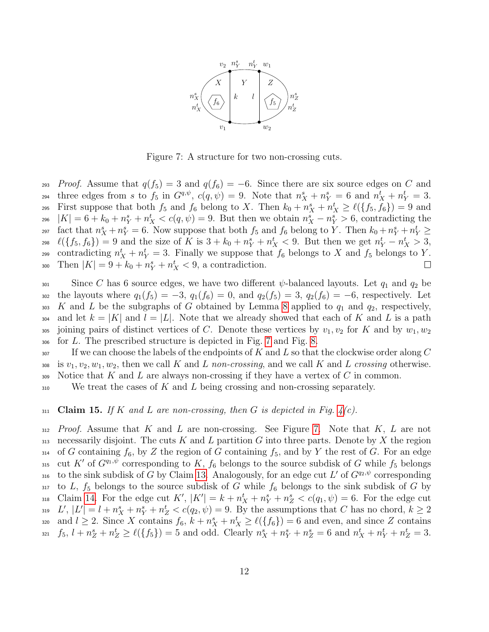

<span id="page-11-0"></span>Figure 7: A structure for two non-crossing cuts.

293 Proof. Assume that  $q(f_5) = 3$  and  $q(f_6) = -6$ . Since there are six source edges on C and three edges from s to  $f_5$  in  $G^{q,\psi}$ ,  $c(q,\psi) = 9$ . Note that  $n_X^s + n_Y^s = 6$  and  $n_X^t + n_Y^t = 3$ . <sup>295</sup> First suppose that both  $f_5$  and  $f_6$  belong to X. Then  $k_0 + n_X^s + n_X^t \geq \ell(\lbrace f_5, f_6 \rbrace) = 9$  and 296  $|K| = 6 + k_0 + n_Y^s + n_X^t < c(q, \psi) = 9$ . But then we obtain  $n_X^s - n_Y^s > 6$ , contradicting the <sup>297</sup> fact that  $n_X^s + n_Y^s = 6$ . Now suppose that both  $f_5$  and  $f_6$  belong to Y. Then  $k_0 + n_Y^s + n_Y^t \ge$  $\ell({f_5, f_6}) = 9$  and the size of K is  $3 + k_0 + n_Y^s + n_X^t < 9$ . But then we get  $n_Y^t - n_X^t > 3$ , contradicting  $n_X^t + n_Y^t = 3$ . Finally we suppose that  $f_6$  belongs to X and  $f_5$  belongs to Y.  $\text{Then } |K| = 9 + k_0 + n_Y^s + n_X^t < 9$ , a contradiction.  $\Box$ 

 $\sin$  Since C has 6 source edges, we have two different  $\psi$ -balanced layouts. Let  $q_1$  and  $q_2$  be 302 the layouts where  $q_1(f_5) = -3$ ,  $q_1(f_6) = 0$ , and  $q_2(f_5) = 3$ ,  $q_2(f_6) = -6$ , respectively. Let 303 K and L be the subgraphs of G obtained by Lemma [8](#page-7-2) applied to  $q_1$  and  $q_2$ , respectively, 304 and let  $k = |K|$  and  $l = |L|$ . Note that we already showed that each of K and L is a path 305 joining pairs of distinct vertices of C. Denote these vertices by  $v_1, v_2$  for K and by  $w_1, w_2$ <sup>306</sup> for L. The prescribed structure is depicted in Fig. [7](#page-11-0) and Fig. [8.](#page-12-0)

 $\mathcal S_{307}$  If we can choose the labels of the endpoints of K and L so that the clockwise order along C 308 is  $v_1, v_2, w_1, w_2$ , then we call K and L non-crossing, and we call K and L crossing otherwise. 309 Notice that K and L are always non-crossing if they have a vertex of C in common.

 $\overline{310}$  We treat the cases of K and L being crossing and non-crossing separately.

#### 311 Claim 15. If K and L are non-crossing, then G is depicted in Fig.  $4(c)$ .

 $312$  Proof. Assume that K and L are non-crossing. See Figure [7.](#page-11-0) Note that K, L are not 313 necessarily disjoint. The cuts K and L partition G into three parts. Denote by X the region 314 of G containing  $f_6$ , by Z the region of G containing  $f_5$ , and by Y the rest of G. For an edge 315 cut K' of  $G^{q_1,\psi}$  corresponding to K,  $f_6$  belongs to the source subdisk of G while  $f_5$  belongs 316 to the sink subdisk of G by Claim [13.](#page-10-1) Analogously, for an edge cut L' of  $G^{q_2,\psi}$  corresponding 317 to L,  $f_5$  belongs to the source subdisk of G while  $f_6$  belongs to the sink subdisk of G by  $\text{Claim 14. For the edge cut } K', |K'| = k + n^t_X + n^s_Y + n^s_Z < c(q_1, \psi) = 6.$  $\text{Claim 14. For the edge cut } K', |K'| = k + n^t_X + n^s_Y + n^s_Z < c(q_1, \psi) = 6.$  $\text{Claim 14. For the edge cut } K', |K'| = k + n^t_X + n^s_Y + n^s_Z < c(q_1, \psi) = 6.$  For the edge cut  $L', |L'| = l + n_X^s + n_Y^s + n_Z^t < c(q_2, \psi) = 9$ . By the assumptions that C has no chord,  $k \ge 2$ and  $l \geq 2$ . Since X contains  $f_6$ ,  $k + n_X^s + n_X^t \geq \ell(\lbrace f_6 \rbrace) = 6$  and even, and since Z contains  $f_5, l + n_Z^s + n_Z^t \geq \ell(\lbrace f_5 \rbrace) = 5$  and odd. Clearly  $n_X^s + n_Y^s + n_Z^s = 6$  and  $n_X^t + n_Y^t + n_Z^t = 3$ .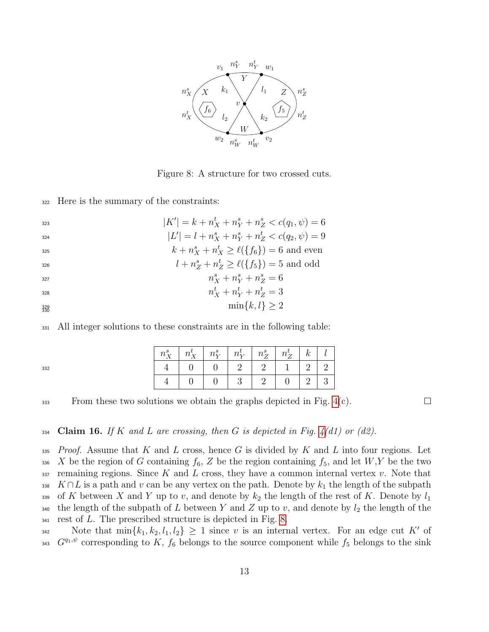

<span id="page-12-0"></span>Figure 8: A structure for two crossed cuts.

<sup>322</sup> Here is the summary of the constraints:

332

| 323 | $ K'  = k + n_X^t + n_Y^s + n_Z^s < c(q_1, \psi) = 6$           |
|-----|-----------------------------------------------------------------|
| 324 | $ L'  = l + n_X^s + n_Y^s + n_Z^t < c(q_2, \psi) = 9$           |
| 325 | $k + n_X^s + n_X^t \geq \ell(\lbrace f_6 \rbrace) = 6$ and even |
| 326 | $l + n_Z^s + n_Z^t \geq \ell({f_5}) = 5$ and odd                |

$$
n_X^s + n_Y^s + n_Z^s = 6
$$

$$
n_X^t + n_Y^t + n_Z^t = 3
$$

$$
\min\{k,l\} \ge 2
$$

<sup>331</sup> All integer solutions to these constraints are in the following table:

| $n_X^s$   $n_X^t$   $n_Y^s$   $n_Y^t$   $n_Z^s$   $n_Z^t$   $k$ |  |                |             |  |
|-----------------------------------------------------------------|--|----------------|-------------|--|
|                                                                 |  | $\overline{1}$ | $2^{\circ}$ |  |
|                                                                 |  |                | 2           |  |

 $333$  From these two solutions we obtain the graphs depicted in Fig. [4\(](#page-5-0)c).

 $\Box$ 

334 Claim 16. If K and L are crossing, then G is depicted in Fig.  $4(d1)$  or (d2).

 $335$  Proof. Assume that K and L cross, hence G is divided by K and L into four regions. Let 336 X be the region of G containing  $f_6$ , Z be the region containing  $f_5$ , and let  $W, Y$  be the two  $337$  remaining regions. Since K and L cross, they have a common internal vertex v. Note that 338 K∩L is a path and v can be any vertex on the path. Denote by  $k_1$  the length of the subpath 339 of K between X and Y up to v, and denote by  $k_2$  the length of the rest of K. Denote by  $l_1$ 340 the length of the subpath of L between Y and Z up to v, and denote by  $l_2$  the length of the  $341$  rest of L. The prescribed structure is depicted in Fig. [8.](#page-12-0)

Note that  $\min\{k_1, k_2, l_1, l_2\} \geq 1$  since v is an internal vertex. For an edge cut K' of <sup>343</sup>  $G^{q_1,\psi}$  corresponding to K,  $f_6$  belongs to the source component while  $f_5$  belongs to the sink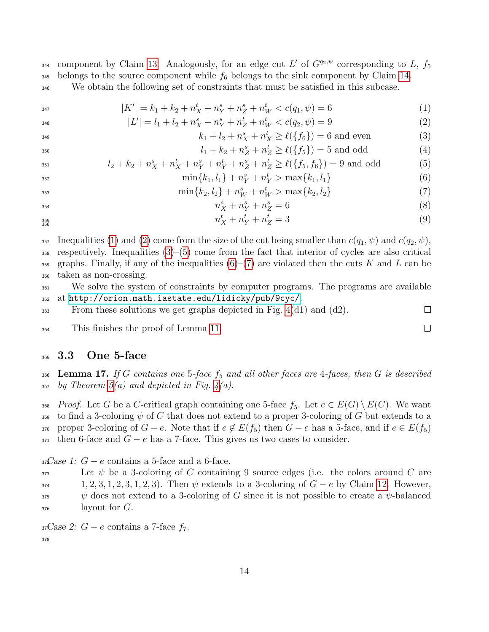<sup>344</sup> component by Claim [13.](#page-10-1) Analogously, for an edge cut L' of  $G^{q_2,\psi}$  corresponding to L,  $f_5$ 345 belongs to the source component while  $f_6$  belongs to the sink component by Claim [14.](#page-10-2) <sup>346</sup> We obtain the following set of constraints that must be satisfied in this subcase.

$$
|K'| = k_1 + k_2 + n_X^t + n_Y^s + n_Z^s + n_W^t < c(q_1, \psi) = 6 \tag{1}
$$

$$
|L'| = l_1 + l_2 + n_X^s + n_Y^s + n_Z^t + n_W^t < c(q_2, \psi) = 9 \tag{2}
$$
\n
$$
k_1 + l_2 + n_Y^s + n_Y^t > \ell(f, \xi) = 6 \text{ and even} \tag{3}
$$

$$
k_1 + l_2 + n_X^s + n_X^t \ge \ell(\lbrace f_6 \rbrace) = 6 \text{ and even}
$$
\n
$$
l_1 + k_2 + n_Z^s + n_Z^t \ge \ell(\lbrace f_5 \rbrace) = 5 \text{ and odd}
$$
\n
$$
(4)
$$

$$
l_2 + k_2 + n_X^s + n_X^t + n_Y^s + n_Y^t + n_Z^s + n_Z^t \ge \ell(\{f_5, f_6\}) = 9 \text{ and odd}
$$
 (5)

$$
\min\{k_1, l_1\} + n_Y^s + n_Y^t > \max\{k_1, l_1\} \tag{6}
$$

$$
\min\{k_2, l_2\} + n_W^s + n_W^t > \max\{k_2, l_2\} \tag{7}
$$

$$
n_X^s + n_Y^s + n_Z^s = 6 \tag{8}
$$

$$
n_X^t + n_Y^t + n_Z^t = 3 \tag{9}
$$

357 Inequalities [\(1\)](#page-13-1) and [\(2\)](#page-13-2) come from the size of the cut being smaller than  $c(q_1, \psi)$  and  $c(q_2, \psi)$ , <sup>358</sup> respectively. Inequalities [\(3\)](#page-13-3)–[\(5\)](#page-13-4) come from the fact that interior of cycles are also critical 359 graphs. Finally, if any of the inequalities  $(6)-(7)$  $(6)-(7)$  $(6)-(7)$  are violated then the cuts K and L can be <sup>360</sup> taken as non-crossing.

<sup>361</sup> We solve the system of constraints by computer programs. The programs are available <sup>362</sup> at <http://orion.math.iastate.edu/lidicky/pub/9cyc/>.

<span id="page-13-6"></span><span id="page-13-5"></span><span id="page-13-4"></span><span id="page-13-3"></span><span id="page-13-2"></span><span id="page-13-1"></span> $\Box$ 

 $\Box$ 

 $\frac{363}{100}$  From these solutions we get graphs depicted in Fig. [4\(](#page-5-0)d1) and (d2).

<sup>364</sup> This finishes the proof of Lemma [11.](#page-9-1)

### <sup>365</sup> 3.3 One 5-face

<span id="page-13-0"></span>366 Lemma 17. If G contains one 5-face  $f_5$  and all other faces are 4-faces, then G is described  $_{367}$  by Theorem  $5(a)$  and depicted in Fig.  $4(a)$ .

368 Proof. Let G be a C-critical graph containing one 5-face  $f_5$ . Let  $e \in E(G) \setminus E(C)$ . We want 369 to find a 3-coloring  $\psi$  of C that does not extend to a proper 3-coloring of G but extends to a 370 proper 3-coloring of  $G - e$ . Note that if  $e \notin E(f_5)$  then  $G - e$  has a 5-face, and if  $e \in E(f_5)$  $371$  then 6-face and  $G - e$  has a 7-face. This gives us two cases to consider.

 $37\text{Case 1: } G - e$  contains a 5-face and a 6-face.

 $\mathcal{L}_{373}$  Let  $\psi$  be a 3-coloring of C containing 9 source edges (i.e. the colors around C are  $1, 2, 3, 1, 2, 3, 1, 2, 3$ . Then  $\psi$  extends to a 3-coloring of  $G - e$  by Claim [12.](#page-10-3) However,  $\psi$  does not extend to a 3-coloring of G since it is not possible to create a  $\psi$ -balanced  $376$  layout for  $G$ .

37Case 2:  $G - e$  contains a 7-face  $f_7$ . 378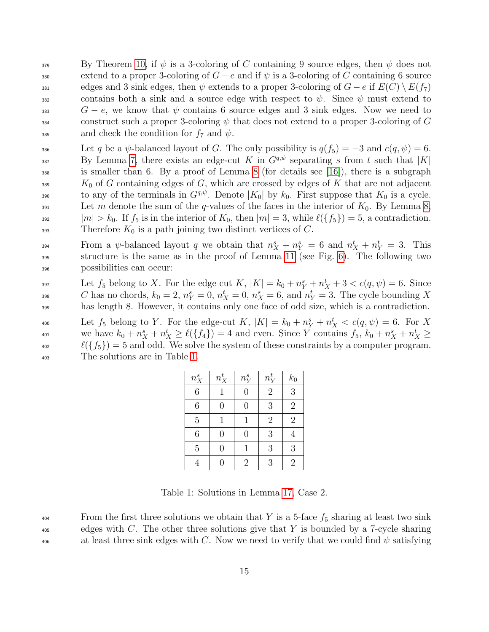$\mathcal{B}$  By Theorem [10,](#page-9-0) if  $\psi$  is a 3-coloring of C containing 9 source edges, then  $\psi$  does not 380 extend to a proper 3-coloring of  $G - e$  and if  $\psi$  is a 3-coloring of C containing 6 source <sup>381</sup> edges and 3 sink edges, then  $\psi$  extends to a proper 3-coloring of  $G - e$  if  $E(C) \setminus E(f_7)$  $382$  contains both a sink and a source edge with respect to  $\psi$ . Since  $\psi$  must extend to  $S^3$  gas G − e, we know that  $\psi$  contains 6 source edges and 3 sink edges. Now we need to  $\frac{3}{84}$  construct such a proper 3-coloring  $\psi$  that does not extend to a proper 3-coloring of G 385 and check the condition for  $f_7$  and  $\psi$ .

386 Let q be a  $\psi$ -balanced layout of G. The only possibility is  $q(f_5) = -3$  and  $c(q, \psi) = 6$ . By Lemma [7,](#page-7-0) there exists an edge-cut K in  $G^{q,\psi}$  separating s from t such that  $|K|$ <sup>388</sup> is smaller than 6. By a proof of Lemma [8](#page-7-2) (for details see [\[16\]](#page-25-10)), there is a subgraph  $K_0$  of G containing edges of G, which are crossed by edges of K that are not adjacent  $t_0$  any of the terminals in  $G^{q,\psi}$ . Denote  $|K_0|$  by  $k_0$ . First suppose that  $K_0$  is a cycle. <sup>391</sup> Let m denote the sum of the q-values of the faces in the interior of  $K_0$ . By Lemma [8,](#page-7-2) <sup>392</sup>  $|m| > k_0$ . If  $f_5$  is in the interior of  $K_0$ , then  $|m| = 3$ , while  $\ell({f_5}) = 5$ , a contradiction. 393 Therefore  $K_0$  is a path joining two distinct vertices of C.

From a  $\psi$ -balanced layout q we obtain that  $n_X^s + n_Y^s = 6$  and  $n_X^t + n_Y^t = 3$ . This <sup>395</sup> structure is the same as in the proof of Lemma [11](#page-9-1) (see Fig. [6\)](#page-10-0). The following two <sup>396</sup> possibilities can occur:

 $\text{Let } f_5 \text{ belong to } X. \text{ For the edge cut } K, |K| = k_0 + n_Y^s + n_X^t + 3 < c(q, \psi) = 6. \text{ Since }$ <sup>398</sup> C has no chords,  $k_0 = 2$ ,  $n_Y^s = 0$ ,  $n_X^t = 0$ ,  $n_X^s = 6$ , and  $n_Y^t = 3$ . The cycle bounding X <sup>399</sup> has length 8. However, it contains only one face of odd size, which is a contradiction.

400 Let  $f_5$  belong to Y. For the edge-cut K,  $|K| = k_0 + n_Y^s + n_X^t < c(q, \psi) = 6$ . For X we have  $k_0 + n_X^s + n_X^t \ge \ell(\lbrace f_4 \rbrace) = 4$  and even. Since Y contains  $f_5$ ,  $k_0 + n_X^s + n_X^t \ge$  $\ell({f_5}) = 5$  and odd. We solve the system of these constraints by a computer program. <sup>403</sup> The solutions are in Table [1.](#page-14-0)

| $n^s_X\,$      | $n_X^t$        | $n_{Y}^{s}$    | $n_Y^t$        | $k_0$          |
|----------------|----------------|----------------|----------------|----------------|
| $\overline{6}$ | 1              | $\overline{0}$ | $\sqrt{2}$     | $\overline{3}$ |
| 6              | $\overline{0}$ | 0              | 3              | $\overline{2}$ |
| $\overline{5}$ | 1              | 1              | $\overline{2}$ | $\overline{2}$ |
| 6              | $\overline{0}$ | 0              | 3              | 4              |
| 5              | 0              | 1              | 3              | 3              |
|                | 0              | $\overline{2}$ | 3              | $\overline{2}$ |

<span id="page-14-0"></span>Table 1: Solutions in Lemma [17,](#page-13-0) Case 2.

 $\frac{404}{404}$  From the first three solutions we obtain that Y is a 5-face  $f_5$  sharing at least two sink <sup>405</sup> edges with C. The other three solutions give that Y is bounded by a 7-cycle sharing 406 at least three sink edges with C. Now we need to verify that we could find  $\psi$  satisfying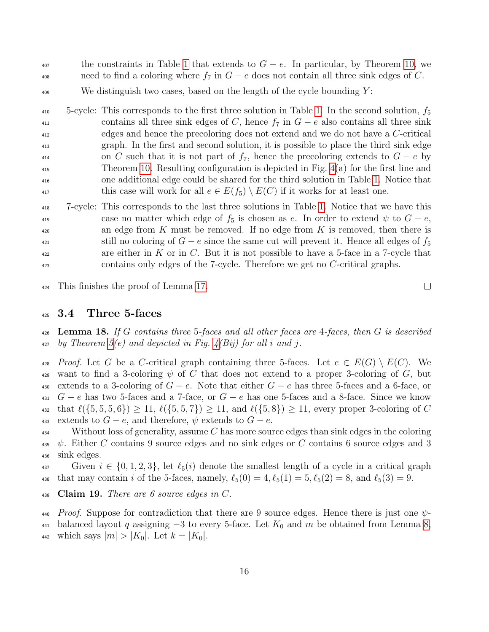$\text{407}$  the constraints in Table [1](#page-14-0) that extends to  $G - e$ . In particular, by Theorem [10,](#page-9-0) we  $\alpha_{408}$  need to find a coloring where  $f_7$  in  $G - e$  does not contain all three sink edges of C.

 $409$  We distinguish two cases, based on the length of the cycle bounding Y:

 $_{410}$  5-cycle: This corresponds to the first three solution in Table [1.](#page-14-0) In the second solution,  $f_5$ 411 contains all three sink edges of C, hence  $f_7$  in  $G - e$  also contains all three sink <sup>412</sup> edges and hence the precoloring does not extend and we do not have a C-critical <sup>413</sup> graph. In the first and second solution, it is possible to place the third sink edge 414 on C such that it is not part of  $f_7$ , hence the precoloring extends to  $G - e$  by <sup>415</sup> Theorem [10.](#page-9-0) Resulting configuration is depicted in Fig. [4\(](#page-5-0)a) for the first line and <sup>416</sup> one additional edge could be shared for the third solution in Table [1.](#page-14-0) Notice that 417 this case will work for all  $e \in E(f_5) \setminus E(C)$  if it works for at least one.

<sup>418</sup> 7-cycle: This corresponds to the last three solutions in Table [1.](#page-14-0) Notice that we have this <sup>419</sup> case no matter which edge of  $f_5$  is chosen as e. In order to extend  $\psi$  to  $G - e$ ,  $420$  an edge from K must be removed. If no edge from K is removed, then there is  $\text{still no coloring of } G - e \text{ since the same cut will prevent it. Hence all edges of } f_5$ <sub>422</sub> are either in K or in C. But it is not possible to have a 5-face in a 7-cycle that <sup>423</sup> contains only edges of the 7-cycle. Therefore we get no C-critical graphs.

<sup>424</sup> This finishes the proof of Lemma [17.](#page-13-0)

#### 425 3.4 Three 5-faces

<span id="page-15-0"></span> $\mu_{426}$  Lemma 18. If G contains three 5-faces and all other faces are 4-faces, then G is described  $427$  by Theorem  $5(e)$  and depicted in Fig.  $4(Bij)$  for all i and j.

428 Proof. Let G be a C-critical graph containing three 5-faces. Let  $e \in E(G) \setminus E(C)$ . We 429 want to find a 3-coloring  $\psi$  of C that does not extend to a proper 3-coloring of G, but 430 extends to a 3-coloring of  $G - e$ . Note that either  $G - e$  has three 5-faces and a 6-face, or  $_{431}$  G − e has two 5-faces and a 7-face, or G − e has one 5-faces and a 8-face. Since we know 432 that  $\ell({5, 5, 5, 6}) \ge 11$ ,  $\ell({5, 5, 7}) \ge 11$ , and  $\ell({5, 8}) \ge 11$ , every proper 3-coloring of C 433 extends to  $G - e$ , and therefore,  $\psi$  extends to  $G - e$ .

434 Without loss of generality, assume C has more source edges than sink edges in the coloring 435  $\psi$ . Either C contains 9 source edges and no sink edges or C contains 6 source edges and 3 <sup>436</sup> sink edges.

437 Given  $i \in \{0, 1, 2, 3\}$ , let  $\ell_5(i)$  denote the smallest length of a cycle in a critical graph 438 that may contain i of the 5-faces, namely,  $\ell_5(0) = 4, \ell_5(1) = 5, \ell_5(2) = 8$ , and  $\ell_5(3) = 9$ .

439 Claim 19. There are 6 source edges in  $C$ .

440 Proof. Suppose for contradiction that there are 9 source edges. Hence there is just one  $\psi$ -441 balanced layout q assigning  $-3$  to every 5-face. Let  $K_0$  and m be obtained from Lemma [8,](#page-7-2) 442 which says  $|m| > |K_0|$ . Let  $k = |K_0|$ .

 $\Box$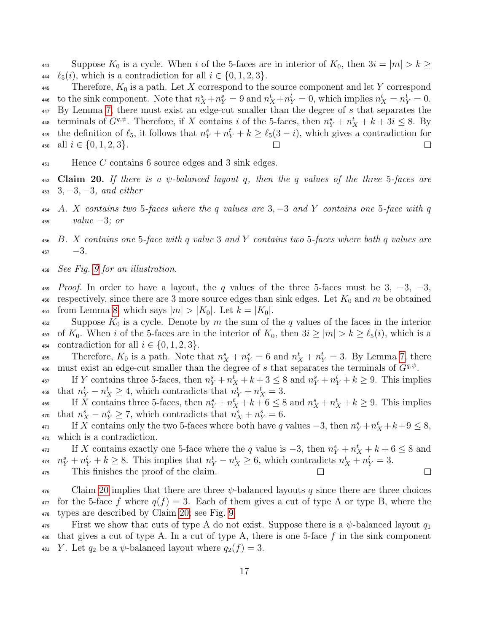443 Suppose  $K_0$  is a cycle. When i of the 5-faces are in interior of  $K_0$ , then  $3i = |m| > k \geq$ 444  $\ell_5(i)$ , which is a contradiction for all  $i \in \{0, 1, 2, 3\}.$ 

445 Therefore,  $K_0$  is a path. Let X correspond to the source component and let Y correspond 446 to the sink component. Note that  $n_X^s + n_Y^s = 9$  and  $n_X^t + n_Y^t = 0$ , which implies  $n_X^t = n_Y^t = 0$ . 447 By Lemma [7,](#page-7-0) there must exist an edge-cut smaller than the degree of s that separates the terminals of  $G^{q,\psi}$ . Therefore, if X contains i of the 5-faces, then  $n_Y^s + n_X^t + k + 3i \leq 8$ . By the definition of  $\ell_5$ , it follows that  $n_Y^s + n_Y^t + k \geq \ell_5(3 - i)$ , which gives a contradiction for 450 all  $i \in \{0, 1, 2, 3\}.$ 

- $_{451}$  Hence C contains 6 source edges and 3 sink edges.
- <span id="page-16-0"></span>452 Claim 20. If there is a  $\psi$ -balanced layout q, then the q values of the three 5-faces are  $453 \quad 3, -3, -3, \text{ and either}$
- 454 A. X contains two 5-faces where the q values are 3,  $-3$  and Y contains one 5-face with q  $_{455}$  value  $-3$ ; or
- 456 B. X contains one 5-face with q value 3 and Y contains two 5-faces where both q values are  $457 -3.$
- <sup>458</sup> See Fig. [9](#page-17-0) for an illustration.
- $459$  Proof. In order to have a layout, the q values of the three 5-faces must be 3,  $-3$ ,  $-3$ , 460 respectively, since there are 3 more source edges than sink edges. Let  $K_0$  and m be obtained 461 from Lemma [8,](#page-7-2) which says  $|m| > |K_0|$ . Let  $k = |K_0|$ .
- $\mu_{462}$  Suppose  $K_0$  is a cycle. Denote by m the sum of the q values of the faces in the interior 463 of  $K_0$ . When i of the 5-faces are in the interior of  $K_0$ , then  $3i \geq |m| > k \geq \ell_5(i)$ , which is a 464 contradiction for all  $i \in \{0, 1, 2, 3\}.$
- 465 Therefore,  $K_0$  is a path. Note that  $n_X^s + n_Y^s = 6$  and  $n_X^t + n_Y^t = 3$ . By Lemma [7,](#page-7-0) there <sup>466</sup> must exist an edge-cut smaller than the degree of s that separates the terminals of  $G^{q,\psi}$ .
- If Y contains three 5-faces, then  $n_Y^s + n_X^t + k + 3 \le 8$  and  $n_Y^s + n_Y^t + k \ge 9$ . This implies <sup>468</sup> that  $n_Y^t - n_X^t \geq 4$ , which contradicts that  $n_Y^t + n_X^t = 3$ .
- If X contains three 5-faces, then  $n_Y^s + n_X^t + k + 6 \leq 8$  and  $n_X^s + n_X^t + k \geq 9$ . This implies <sup>470</sup> that  $n_X^s - n_Y^s \ge 7$ , which contradicts that  $n_X^s + n_Y^s = 6$ .
- If X contains only the two 5-faces where both have q values  $-3$ , then  $n_Y^s + n_X^t + k + 9 \le 8$ , <sup>472</sup> which is a contradiction.
- If X contains exactly one 5-face where the q value is  $-3$ , then  $n_Y^s + n_X^t + k + 6 \leq 8$  and <sup>474</sup>  $n_Y^s + n_Y^t + k \ge 8$ . This implies that  $n_Y^t - n_X^t \ge 6$ , which contradicts  $n_X^t + n_Y^t = 3$ . <sup>475</sup> This finishes the proof of the claim.  $\Box$

 $\frac{476}{476}$  Claim [20](#page-16-0) implies that there are three  $\psi$ -balanced layouts q since there are three choices  $477$  for the 5-face f where  $q(f) = 3$ . Each of them gives a cut of type A or type B, where the <sup>478</sup> types are described by Claim [20;](#page-16-0) see Fig. [9.](#page-17-0)

First we show that cuts of type A do not exist. Suppose there is a  $\psi$ -balanced layout  $q_1$ 480 that gives a cut of type A. In a cut of type A, there is one 5-face  $f$  in the sink component 481 Y. Let  $q_2$  be a  $\psi$ -balanced layout where  $q_2(f) = 3$ .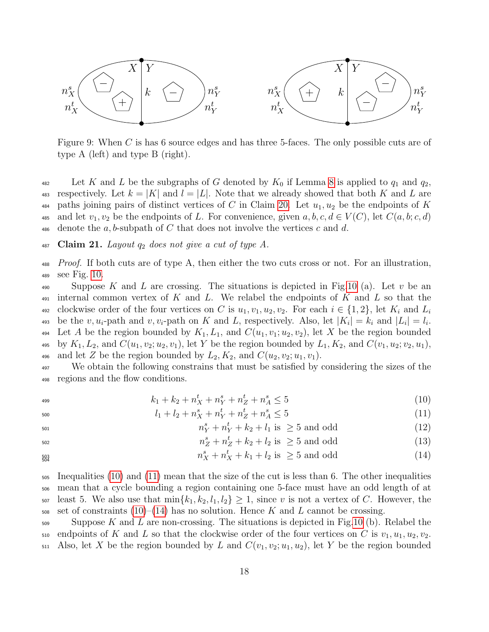

<span id="page-17-0"></span>Figure 9: When C is has 6 source edges and has three 5-faces. The only possible cuts are of type A (left) and type B (right).

482 Let K and L be the subgraphs of G denoted by  $K_0$  if Lemma [8](#page-7-2) is applied to  $q_1$  and  $q_2$ , 483 respectively. Let  $k = |K|$  and  $l = |L|$ . Note that we already showed that both K and L are 484 paths joining pairs of distinct vertices of C in Claim [20.](#page-16-0) Let  $u_1, u_2$  be the endpoints of K 485 and let  $v_1, v_2$  be the endpoints of L. For convenience, given  $a, b, c, d \in V(C)$ , let  $C(a, b; c, d)$ 486 denote the a, b-subpath of C that does not involve the vertices c and d.

<span id="page-17-4"></span> $487$  Claim 21. Layout  $q_2$  does not give a cut of type A.

 $P_{\text{roof}}$ . If both cuts are of type A, then either the two cuts cross or not. For an illustration, <sup>489</sup> see Fig. [10.](#page-18-0)

490 Suppose K and L are crossing. The situations is depicted in Fig[.10](#page-18-0) (a). Let v be an  $_{491}$  internal common vertex of K and L. We relabel the endpoints of K and L so that the clockwise order of the four vertices on C is  $u_1, v_1, u_2, v_2$ . For each  $i \in \{1, 2\}$ , let  $K_i$  and  $L_i$ 492 493 be the  $v, u_i$ -path and  $v, v_i$ -path on K and L, respectively. Also, let  $|K_i| = k_i$  and  $|L_i| = l_i$ . 494 Let A be the region bounded by  $K_1, L_1$ , and  $C(u_1, v_1; u_2, v_2)$ , let X be the region bounded 495 by  $K_1, L_2$ , and  $C(u_1, v_2; u_2, v_1)$ , let Y be the region bounded by  $L_1, K_2$ , and  $C(v_1, u_2; v_2, u_1)$ , 496 and let Z be the region bounded by  $L_2, K_2$ , and  $C(u_2, v_2; u_1, v_1)$ .

<sup>497</sup> We obtain the following constrains that must be satisfied by considering the sizes of the <sup>498</sup> regions and the flow conditions.

$$
k_1 + k_2 + n_X^t + n_Y^s + n_Z^t + n_A^s \le 5 \tag{10}
$$

<span id="page-17-2"></span><span id="page-17-1"></span>
$$
l_1 + l_2 + n_X^s + n_Y^t + n_Z^t + n_A^s \le 5 \tag{11}
$$

$$
n_Y^s + n_Y^t + k_2 + l_1 \text{ is } \geq 5 \text{ and odd}
$$
 (12)

<span id="page-17-3"></span>
$$
n_Z^s + n_Z^t + k_2 + l_2 \text{ is } \geq 5 \text{ and odd}
$$
 (13)

$$
n_X^s + n_X^t + k_1 + l_2 \text{ is } \geq 5 \text{ and odd}
$$
 (14)

 $\frac{1}{505}$  Inequalities [\(10\)](#page-17-1) and [\(11\)](#page-17-2) mean that the size of the cut is less than 6. The other inequalities <sup>506</sup> mean that a cycle bounding a region containing one 5-face must have an odd length of at  $\sum_{i=1}^{507}$  least 5. We also use that  $\min\{k_1, k_2, l_1, l_2\} \geq 1$ , since v is not a vertex of C. However, the 508 set of constraints [\(10\)](#page-17-1)–[\(14\)](#page-17-3) has no solution. Hence K and L cannot be crossing.

509 Suppose K and L are non-crossing. The situations is depicted in Fig[.10](#page-18-0) (b). Relabel the 510 endpoints of K and L so that the clockwise order of the four vertices on C is  $v_1, u_1, u_2, v_2$ . 511 Also, let X be the region bounded by L and  $C(v_1, v_2; u_1, u_2)$ , let Y be the region bounded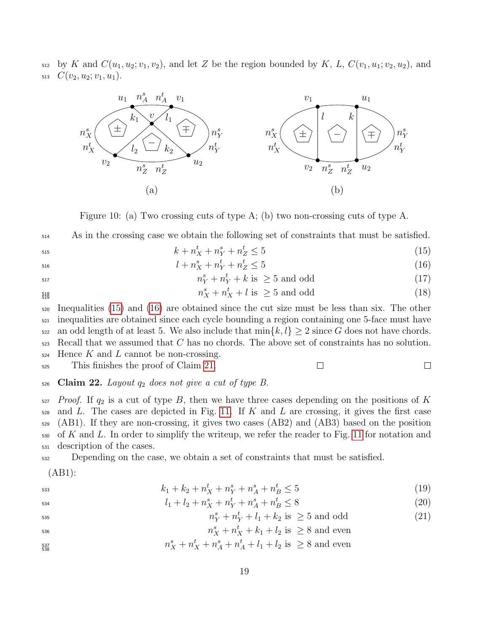$512$  by K and  $C(u_1, u_2; v_1, v_2)$ , and let Z be the region bounded by K, L,  $C(v_1, u_1; v_2, u_2)$ , and 513  $C(v_2, u_2; v_1, u_1)$ .



<span id="page-18-0"></span>Figure 10: (a) Two crossing cuts of type A; (b) two non-crossing cuts of type A.

<sup>514</sup> As in the crossing case we obtain the following set of constraints that must be satisfied.

$$
k + n_X^t + n_Y^s + n_Z^t \le 5 \tag{15}
$$

$$
l + n_X^s + n_Y^t + n_Z^t \le 5 \tag{16}
$$

$$
n_Y^s + n_Y^t + k \text{ is } \geq 5 \text{ and odd}
$$
 (17)

$$
\substack{518 \\ 519}
$$

 $n_X^s + n_X^t + l$  is  $\geq 5$  and odd (18)

<sup>520</sup> Inequalities [\(15\)](#page-18-1) and [\(16\)](#page-18-2) are obtained since the cut size must be less than six. The other <sup>521</sup> inequalities are obtained since each cycle bounding a region containing one 5-face must have 522 an odd length of at least 5. We also include that  $\min\{k, l\} \geq 2$  since G does not have chords.  $523$  Recall that we assumed that C has no chords. The above set of constraints has no solution.  $\mu$ <sub>524</sub> Hence K and L cannot be non-crossing.

<sup>525</sup> This finishes the proof of Claim [21.](#page-17-4)

<span id="page-18-5"></span><span id="page-18-4"></span><span id="page-18-3"></span><span id="page-18-2"></span><span id="page-18-1"></span> $\Box$ 

 $\Box$ 

<span id="page-18-6"></span>526 Claim 22. Layout  $q_2$  does not give a cut of type B.

 Proof. If  $q_2$  is a cut of type B, then we have three cases depending on the positions of K and L. The cases are depicted in Fig. [11.](#page-19-0) If K and L are crossing, it gives the first case (AB1). If they are non-crossing, it gives two cases (AB2) and (AB3) based on the position of K and L. In order to simplify the writeup, we refer the reader to Fig. [11](#page-19-0) for notation and description of the cases.

<sup>532</sup> Depending on the case, we obtain a set of constraints that must be satisfied.

(AB1):

$$
k_1 + k_2 + n_X^t + n_Y^s + n_A^s + n_B^t \le 5 \tag{19}
$$

$$
l_1 + l_2 + n_X^s + n_Y^t + n_A^s + n_B^t \le 8 \tag{20}
$$

$$
n_Y^s + n_Y^t + l_1 + k_2 \text{ is } \geq 5 \text{ and odd}
$$
 (21)

$$
n_X^s + n_X^t + k_1 + l_2
$$
 is  $\geq 8$  and even

$$
n_X^s + n_X^t + n_A^s + n_A^t + l_1 + l_2
$$
 is  $\geq 8$  and even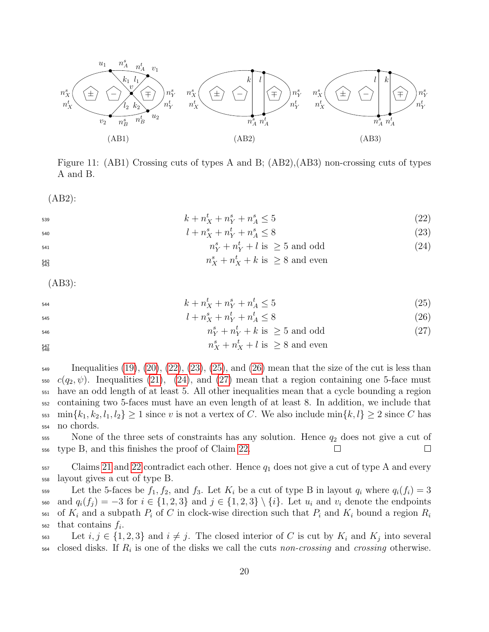

<span id="page-19-5"></span><span id="page-19-2"></span><span id="page-19-1"></span><span id="page-19-0"></span>Figure 11: (AB1) Crossing cuts of types A and B; (AB2),(AB3) non-crossing cuts of types A and B.

(AB2):

$$
k + n_X^t + n_Y^s + n_A^s \le 5 \tag{22}
$$

$$
l + n_X^s + n_Y^t + n_A^s \le 8 \tag{23}
$$

$$
n_Y^s + n_Y^t + l \text{ is } \geq 5 \text{ and odd}
$$
 (24)

$$
n_X^s + n_X^t + k
$$
 is  $\geq 8$  and even

<span id="page-19-6"></span><span id="page-19-4"></span><span id="page-19-3"></span>(AB3):

$$
k + n_X^t + n_Y^s + n_A^t \le 5 \tag{25}
$$

$$
l + n_X^s + n_Y^t + n_A^t \le 8 \tag{26}
$$

$$
n_Y^s + n_Y^t + k \text{ is } \geq 5 \text{ and odd}
$$
 (27)

$$
n_X^s + n_X^t + l
$$
 is  $\geq 8$  and even

 $\mu_{\text{549}}$  Inequalities [\(19\)](#page-18-3), [\(20\)](#page-18-4), [\(22\)](#page-19-1), [\(23\)](#page-19-2), [\(25\)](#page-19-3), and [\(26\)](#page-19-4) mean that the size of the cut is less than  $c(q_2, \psi)$ . Inequalities [\(21\)](#page-18-5), [\(24\)](#page-19-5), and [\(27\)](#page-19-6) mean that a region containing one 5-face must <sup>551</sup> have an odd length of at least 5. All other inequalities mean that a cycle bounding a region <sup>552</sup> containing two 5-faces must have an even length of at least 8. In addition, we include that  $\min\{k_1, k_2, l_1, l_2\} \geq 1$  since v is not a vertex of C. We also include  $\min\{k, l\} \geq 2$  since C has <sup>554</sup> no chords.

 $555$  None of the three sets of constraints has any solution. Hence  $q_2$  does not give a cut of <sup>556</sup> type B, and this finishes the proof of Claim [22.](#page-18-6)  $\Box$ 

 $557$  Claims [21](#page-17-4) and [22](#page-18-6) contradict each other. Hence  $q_1$  does not give a cut of type A and every <sup>558</sup> layout gives a cut of type B.

559 Let the 5-faces be  $f_1, f_2$ , and  $f_3$ . Let  $K_i$  be a cut of type B in layout  $q_i$  where  $q_i(f_i) = 3$ 560 and  $q_i(f_i) = -3$  for  $i \in \{1,2,3\}$  and  $j \in \{1,2,3\} \setminus \{i\}$ . Let  $u_i$  and  $v_i$  denote the endpoints of  $K_i$  and a subpath  $P_i$  of C in clock-wise direction such that  $P_i$  and  $K_i$  bound a region  $R_i$ 561  $_{562}$  that contains  $f_i$ .

563 Let  $i, j \in \{1, 2, 3\}$  and  $i \neq j$ . The closed interior of C is cut by  $K_i$  and  $K_j$  into several  $\epsilon_{564}$  closed disks. If  $R_i$  is one of the disks we call the cuts non-crossing and crossing otherwise.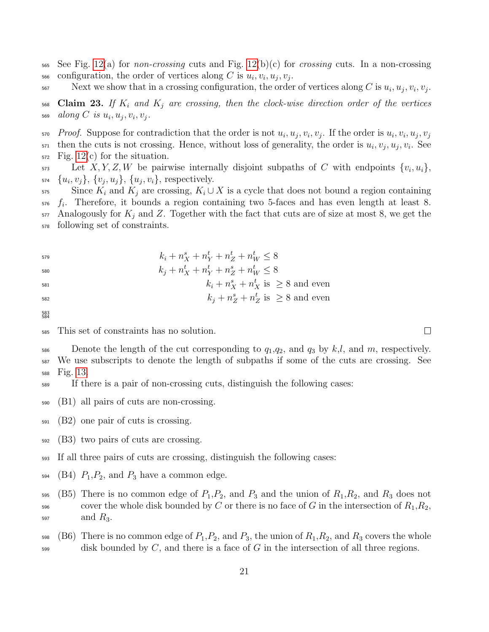- 565 See Fig. [12\(](#page-21-0)a) for *non-crossing* cuts and Fig. 12(b)(c) for *crossing* cuts. In a non-crossing  $\epsilon_{\text{66}}$  configuration, the order of vertices along C is  $u_i, v_i, u_j, v_j$ .
- S67 Next we show that in a crossing configuration, the order of vertices along C is  $u_i, u_j, v_i, v_j$ .
- $\,$  568  $\,$  Claim 23. If  $K_i$  and  $K_j$  are crossing, then the clock-wise direction order of the vertices 569  $\ along\ C\ is\ u_i, u_j, v_i, v_j.$
- *Proof.* Suppose for contradiction that the order is not  $u_i, u_j, v_i, v_j$ . If the order is  $u_i, v_i, u_j, v_j$ 570  $\tau$  then the cuts is not crossing. Hence, without loss of generality, the order is  $u_i, v_j, u_j, v_i$ . See  $572$  Fig. [12\(](#page-21-0)c) for the situation.

Let  $X, Y, Z, W$  be pairwise internally disjoint subpaths of C with endpoints  $\{v_i, u_i\}$ ,  ${u_i, v_j}, \{v_j, u_j\}, \{u_j, v_i\},$  respectively.

- 575 Since  $K_i$  and  $K_j$  are crossing,  $K_i \cup X$  is a cycle that does not bound a region containing  $576$   $f_i$ . Therefore, it bounds a region containing two 5-faces and has even length at least 8.  $577$  Analogously for  $K_j$  and Z. Together with the fact that cuts are of size at most 8, we get the <sup>578</sup> following set of constraints.
- 579  $k_i + n_X^s + n_Y^t + n_Z^t + n_W^t \leq 8$

$$
k_j + n_X^t + n_Y^t + n_Z^s + n_W^t \le 8
$$

$$
k_i + n_X^s + n_X^t \text{ is } \geq 8 \text{ and even}
$$

$$
k_j + n_Z^s + n_Z^t \text{ is } \geq 8 \text{ and even}
$$

583 584

- <sup>585</sup> This set of constraints has no solution.
- 586 Denote the length of the cut corresponding to  $q_1,q_2$ , and  $q_3$  by  $k,l$ , and  $m$ , respectively. <sup>587</sup> We use subscripts to denote the length of subpaths if some of the cuts are crossing. See <sup>588</sup> Fig. [13.](#page-22-0)

<sup>589</sup> If there is a pair of non-crossing cuts, distinguish the following cases:

- <sup>590</sup> (B1) all pairs of cuts are non-crossing.
- <sup>591</sup> (B2) one pair of cuts is crossing.
- <sup>592</sup> (B3) two pairs of cuts are crossing.
- <sup>593</sup> If all three pairs of cuts are crossing, distinguish the following cases:
- $_{594}$  (B4)  $P_1, P_2$ , and  $P_3$  have a common edge.
- 595 (B5) There is no common edge of  $P_1, P_2$ , and  $P_3$  and the union of  $R_1, R_2$ , and  $R_3$  does not 596 cover the whole disk bounded by C or there is no face of G in the intersection of  $R_1, R_2$ ,  $\log R_3$ .
- 598 (B6) There is no common edge of  $P_1, P_2$ , and  $P_3$ , the union of  $R_1, R_2$ , and  $R_3$  covers the whole  $599$  disk bounded by C, and there is a face of G in the intersection of all three regions.

 $\Box$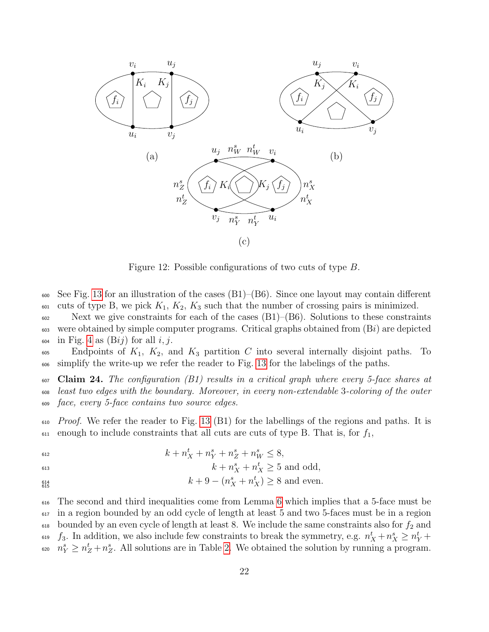

<span id="page-21-0"></span>Figure 12: Possible configurations of two cuts of type B.

 $\frac{600}{200}$  See Fig. [13](#page-22-0) for an illustration of the cases (B1)–(B6). Since one layout may contain different  $\omega$  cuts of type B, we pick  $K_1, K_2, K_3$  such that the number of crossing pairs is minimized.

 $\frac{602}{100}$  Next we give constraints for each of the cases (B1)–(B6). Solutions to these constraints  $\omega$  were obtained by simple computer programs. Critical graphs obtained from  $(Bi)$  are depicted  $_{604}$  in Fig. [4](#page-5-0) as  $(Bij)$  for all i, j.

 $\epsilon_{605}$  Endpoints of  $K_1$ ,  $K_2$ , and  $K_3$  partition C into several internally disjoint paths. To <sup>606</sup> simplify the write-up we refer the reader to Fig. [13](#page-22-0) for the labelings of the paths.

<span id="page-21-1"></span> $\overline{\text{607}}$  Claim 24. The configuration (B1) results in a critical graph where every 5-face shares at <sup>608</sup> least two edges with the boundary. Moreover, in every non-extendable 3-coloring of the outer <sup>609</sup> face, every 5-face contains two source edges.

 $610$  *Proof.* We refer the reader to Fig. [13](#page-22-0) (B1) for the labellings of the regions and paths. It is  $\epsilon_{611}$  enough to include constraints that all cuts are cuts of type B. That is, for  $f_1$ ,

612  $k + n_X^t + n_Y^s + n_Z^s + n_W^s \leq 8,$ 

$$
k + n_X^s + n_X^t \ge 5 \text{ and odd},
$$

$$
k + 9 - (n_X^s + n_X^t) \ge 8
$$
 and even.

<sup>616</sup> The second and third inequalities come from Lemma [6](#page-7-1) which implies that a 5-face must be <sup>617</sup> in a region bounded by an odd cycle of length at least 5 and two 5-faces must be in a region  $618$  bounded by an even cycle of length at least 8. We include the same constraints also for  $f_2$  and <sup>619</sup>  $f_3$ . In addition, we also include few constraints to break the symmetry, e.g.  $n_X^t + n_X^s \ge n_Y^t +$  $n_Y^s \geq n_Z^t + n_Z^s$ . All solutions are in Table [2.](#page-22-1) We obtained the solution by running a program.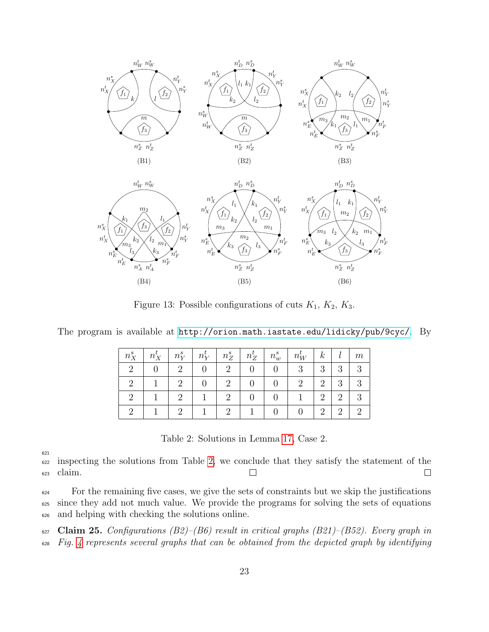



<span id="page-22-0"></span>Figure 13: Possible configurations of cuts  $K_1$ ,  $K_2$ ,  $K_3$ .

| $n^s_{\bf v}$ | $n_X^{\iota}$ | $\mid n_V^s \mid n_V^t \mid$ | $n_Z^s$ | $n_Z^t$ | $n_w^s$  | $n_W^t$ | k              |   | m |
|---------------|---------------|------------------------------|---------|---------|----------|---------|----------------|---|---|
|               |               |                              |         |         |          |         | 3              | 3 |   |
| റ             |               |                              |         |         | $\theta$ |         | $\overline{2}$ | 3 |   |
|               |               |                              |         |         |          |         | 2              |   |   |
|               |               |                              |         |         |          |         | 2              |   |   |

The program is available at <http://orion.math.iastate.edu/lidicky/pub/9cyc/>. By

<span id="page-22-1"></span>Table 2: Solutions in Lemma [17,](#page-13-0) Case 2.

621

<sup>622</sup> inspecting the solutions from Table [2,](#page-22-1) we conclude that they satisfy the statement of the <sup>623</sup> claim.  $\Box$  $\Box$ 

<sup>624</sup> For the remaining five cases, we give the sets of constraints but we skip the justifications <sup>625</sup> since they add not much value. We provide the programs for solving the sets of equations <sup>626</sup> and helping with checking the solutions online.

627 Claim 25. Configurations  $(B2)$ – $(B6)$  result in critical graphs  $(B21)$ – $(B52)$ . Every graph in <sup>628</sup> Fig. [4](#page-5-0) represents several graphs that can be obtained from the depicted graph by identifying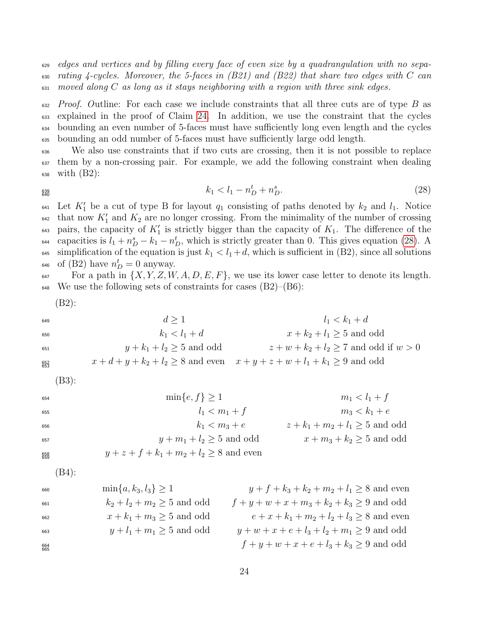<sup>629</sup> edges and vertices and by filling every face of even size by a quadrangulation with no sepa- $\epsilon_{30}$  rating 4-cycles. Moreover, the 5-faces in (B21) and (B22) that share two edges with C can  $\epsilon_{31}$  moved along C as long as it stays neighboring with a region with three sink edges.

 $F_{632}$  *Proof.* Outline: For each case we include constraints that all three cuts are of type B as explained in the proof of Claim [24.](#page-21-1) In addition, we use the constraint that the cycles bounding an even number of 5-faces must have sufficiently long even length and the cycles bounding an odd number of 5-faces must have sufficiently large odd length.

<sup>636</sup> We also use constraints that if two cuts are crossing, then it is not possible to replace <sup>637</sup> them by a non-crossing pair. For example, we add the following constraint when dealing <sup>638</sup> with (B2):

$$
\begin{array}{c} 639 \\ 640 \end{array}
$$

<span id="page-23-0"></span>
$$
k_1 < l_1 - n_D^t + n_D^s. \tag{28}
$$

 $\epsilon_{41}$  Let  $K_1'$  be a cut of type B for layout  $q_1$  consisting of paths denoted by  $k_2$  and  $l_1$ . Notice  $\epsilon_{42}$  that now  $K_1'$  and  $K_2$  are no longer crossing. From the minimality of the number of crossing  $\epsilon_{43}$  pairs, the capacity of  $K_1'$  is strictly bigger than the capacity of  $K_1$ . The difference of the  $\epsilon_{44}$  capacities is  $l_1 + n_D^s - k_1 - n_D^t$ , which is strictly greater than 0. This gives equation [\(28\)](#page-23-0). A 645 simplification of the equation is just  $k_1 < l_1 + d$ , which is sufficient in (B2), since all solutions <sup>646</sup> of (B2) have  $n_D^t = 0$  anyway.

 $\delta$ <sup>47</sup> For a path in  $\{X, Y, Z, W, A, D, E, F\}$ , we use its lower case letter to denote its length.  $\mu_{648}$  We use the following sets of constraints for cases (B2)–(B6):

$$
(B2):
$$

649  $d \geq 1$   $l_1 < k_1 + d$ 650  $k_1 < l_1 + d$   $x + k_2 + l_1 \ge 5$  and odd<br>  $y + k_1 + l_2 \ge 5$  and odd<br>  $z + w + k_2 + l_2 \ge 7$  and odd 651  $y + k_1 + l_2 > 5$  and odd  $z + w + k_2 + l_2 > 7$  and odd if  $w > 0$  $\frac{652}{653}$   $x + d + y + k_2 + l_2 \ge 8$  and even  $x + y + z + w + l_1 + k_1 \ge 9$  and odd (B3):

| $654$           | $min\{e, f\} \geq 1$                          | $m_1 < l_1 + f$                |
|-----------------|-----------------------------------------------|--------------------------------|
| $655$           | $l_1 < m_1 + f$                               | $m_3 < k_1 + e$                |
| $k_1 < m_3 + e$ | $z + k_1 + m_2 + l_1 \geq 5$ and odd          |                                |
| $657$           | $y + m_1 + l_2 \geq 5$ and odd                | $x + m_3 + k_2 \geq 5$ and odd |
| $858$           | $y + z + f + k_1 + m_2 + l_2 \geq 8$ and even |                                |

$$
(B4):
$$

660 min{a, k<sub>3</sub>, l<sub>3</sub>} > 1 y + f + k<sub>3</sub> + k<sub>2</sub> + m<sub>2</sub> + l<sub>1</sub> > 8 and even 661  $k_2 + l_2 + m_2 \ge 5$  and odd  $f + y + w + x + m_3 + k_2 + k_3 \ge 9$  and odd<br>  $x + k_1 + m_3 \ge 5$  and odd  $e + x + k_1 + m_2 + l_2 + l_3 \ge 8$  and ever <sup>662</sup>  $x + k_1 + m_3 > 5$  and odd  $e + x + k_1 + m_2 + l_3 > 8$  and even <sup>663</sup>  $y + l_1 + m_1 \ge 5$  and odd  $y + w + x + e + l_3 + l_2 + m_1 \ge 9$  and odd  $f + y + w + x + e + l_3 + k_3 \geq 9$  and odd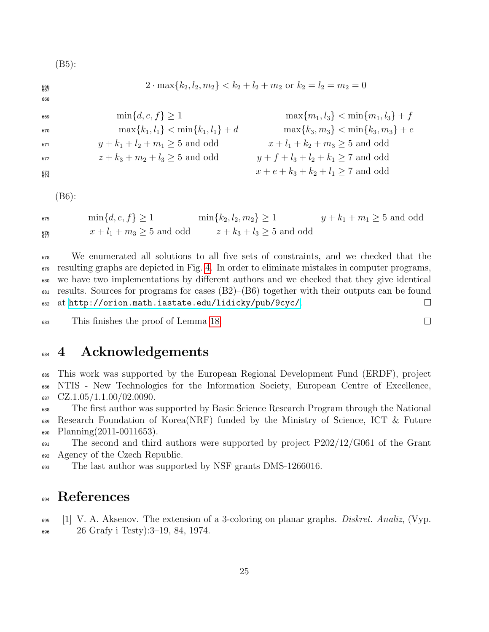(B5):

$$
\lim_{667} \{k_2, l_2, m_2\} < k_2 + l_2 + m_2 \text{ or } k_2 = l_2 = m_2 = 0
$$

669  $\min\{d, e, f\} \ge 1$   $\max\{m_1, l_3\} < \min\{m_1, l_3\} + f$ <br>  $\max\{k_1, l_1\} < \min\{k_1, l_1\} + d$   $\max\{k_3, m_3\} < \min\{k_3, m_3\} + e$ 670 max ${k_1, l_1}$  < min ${k_1, l_1}$  + d max ${k_3, m_3}$  < min ${k_3, m_3}$  + e <sup>671</sup>  $y + k_1 + l_2 + m_1 \ge 5$  and odd  $x + l_1 + k_2 + m_3 \ge 5$  and odd <sup>672</sup>  $z + k_3 + m_2 + l_3 \ge 5$  and odd  $y + f + l_3 + l_2 + k_1 \ge 7$  and odd  $\frac{673}{674}$   $x + e + k_3 + k_2 + l_1 \ge 7$  and odd

(B6):

$$
\min\{d, e, f\} \ge 1 \qquad \min\{k_2, l_2, m_2\} \ge 1 \qquad y + k_1 + m_1 \ge 5 \text{ and odd}
$$
\n
$$
x + l_1 + m_3 \ge 5 \text{ and odd} \qquad z + k_3 + l_3 \ge 5 \text{ and odd}
$$

 We enumerated all solutions to all five sets of constraints, and we checked that the resulting graphs are depicted in Fig. [4.](#page-5-0) In order to eliminate mistakes in computer programs, we have two implementations by different authors and we checked that they give identical  $\epsilon_{681}$  results. Sources for programs for cases (B2)–(B6) together with their outputs can be found at <http://orion.math.iastate.edu/lidicky/pub/9cyc/>.  $\Box$ 

This finishes the proof of Lemma [18.](#page-15-0)

## 4 Acknowledgements

 This work was supported by the European Regional Development Fund (ERDF), project NTIS - New Technologies for the Information Society, European Centre of Excellence,  $687 \quad \text{CZ}.1.05/1.1.00/02.0090.$ 

 The first author was supported by Basic Science Research Program through the National Research Foundation of Korea(NRF) funded by the Ministry of Science, ICT & Future Planning(2011-0011653).

 The second and third authors were supported by project P202/12/G061 of the Grant Agency of the Czech Republic.

The last author was supported by NSF grants DMS-1266016.

## References

<span id="page-24-0"></span> $\begin{bmatrix} 1 \end{bmatrix}$  V. A. Aksenov. The extension of a 3-coloring on planar graphs. Diskret. Analiz, (Vyp. 26 Grafy i Testy):3–19, 84, 1974.

 $\Box$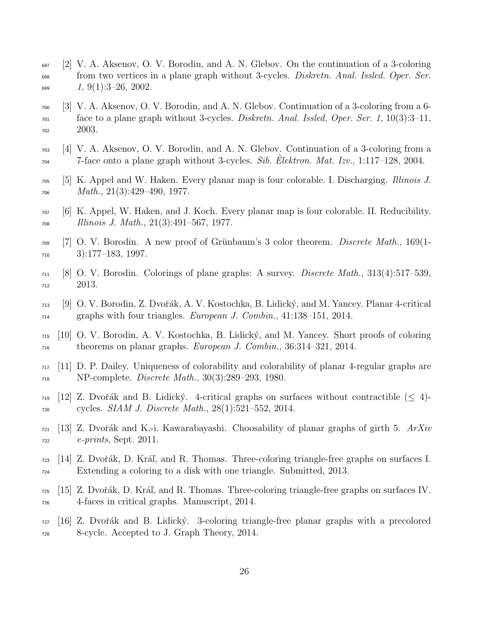- <span id="page-25-13"></span> $697$  [2] V. A. Aksenov, O. V. Borodin, and A. N. Glebov. On the continuation of a 3-coloring <sub>698</sub> from two vertices in a plane graph without 3-cycles. *Diskretn. Anal. Issled. Oper. Ser.*  $\frac{699}{1, 9(1):3-26, 2002.}$
- <span id="page-25-8"></span><sup>700</sup> [3] V. A. Aksenov, O. V. Borodin, and A. N. Glebov. Continuation of a 3-coloring from a 6-  $T_{701}$  face to a plane graph without 3-cycles. *Diskretn. Anal. Issled. Oper. Ser.* 1, 10(3):3–11, <sup>702</sup> 2003.
- <span id="page-25-9"></span><sup>703</sup> [4] V. A. Aksenov, O. V. Borodin, and A. N. Glebov. Continuation of a 3-coloring from a  $7-5$  7-face onto a plane graph without 3-cycles. Sib. Elektron. Mat. Izv., 1:117–128, 2004.
- <span id="page-25-1"></span> $_{705}$  [5] K. Appel and W. Haken. Every planar map is four colorable. I. Discharging. *Illinois J.*  $_{706}$  Math.,  $21(3):429-490, 1977$ .
- <span id="page-25-2"></span> $\frac{1}{707}$  [6] K. Appel, W. Haken, and J. Koch. Every planar map is four colorable. II. Reducibility.  $_{708}$  Illinois J. Math.,  $21(3):491-567$ , 1977.
- <span id="page-25-4"></span> $_{709}$  [7] O. V. Borodin. A new proof of Grünbaum's 3 color theorem. *Discrete Math.*, 169(1-<sup>710</sup> 3):177–183, 1997.
- <span id="page-25-3"></span> $_{711}$  [8] O. V. Borodin. Colorings of plane graphs: A survey. *Discrete Math.*, 313(4):517–539. <sup>712</sup> 2013.
- <span id="page-25-5"></span><sup>713</sup> [9] O. V. Borodin, Z. Dvoˇr´ak, A. V. Kostochka, B. Lidick´y, and M. Yancey. Planar 4-critical  $_{714}$  graphs with four triangles. *European J. Combin.*,  $41:138-151$ ,  $2014$ .
- <span id="page-25-14"></span><sup>715</sup> [10] O. V. Borodin, A. V. Kostochka, B. Lidick´y, and M. Yancey. Short proofs of coloring <sup>716</sup> theorems on planar graphs. *European J. Combin.*, 36:314–321, 2014.
- <span id="page-25-0"></span> $717$  [11] D. P. Dailey. Uniqueness of colorability and colorability of planar 4-regular graphs are  $N_{18}$  NP-complete. *Discrete Math.*,  $30(3):289-293$ , 1980.
- <span id="page-25-7"></span> $_{719}$  [12] Z. Dvořák and B. Lidický. 4-critical graphs on surfaces without contractible ( $\leq 4$ )- $_{720}$  cycles. *SIAM J. Discrete Math.*,  $28(1):521-552$ ,  $2014$ .
- <span id="page-25-6"></span> $721$  [13] Z. Dvořák and K.-i. Kawarabayashi. Choosability of planar graphs of girth 5.  $ArXiv$  $_{722}$  e-prints, Sept. 2011.
- <span id="page-25-12"></span> $_{723}$  [14] Z. Dvořák, D. Kráľ, and R. Thomas. Three-coloring triangle-free graphs on surfaces I. <sup>724</sup> Extending a coloring to a disk with one triangle. Submitted, 2013.
- <span id="page-25-11"></span> $_{725}$  [15] Z. Dvořák, D. Kráľ, and R. Thomas. Three-coloring triangle-free graphs on surfaces IV. <sup>726</sup> 4-faces in critical graphs. Manuscript, 2014.
- <span id="page-25-10"></span> $727 \mid 16$  Z. Dvořák and B. Lidický. 3-coloring triangle-free planar graphs with a precolored <sup>728</sup> 8-cycle. Accepted to J. Graph Theory, 2014.